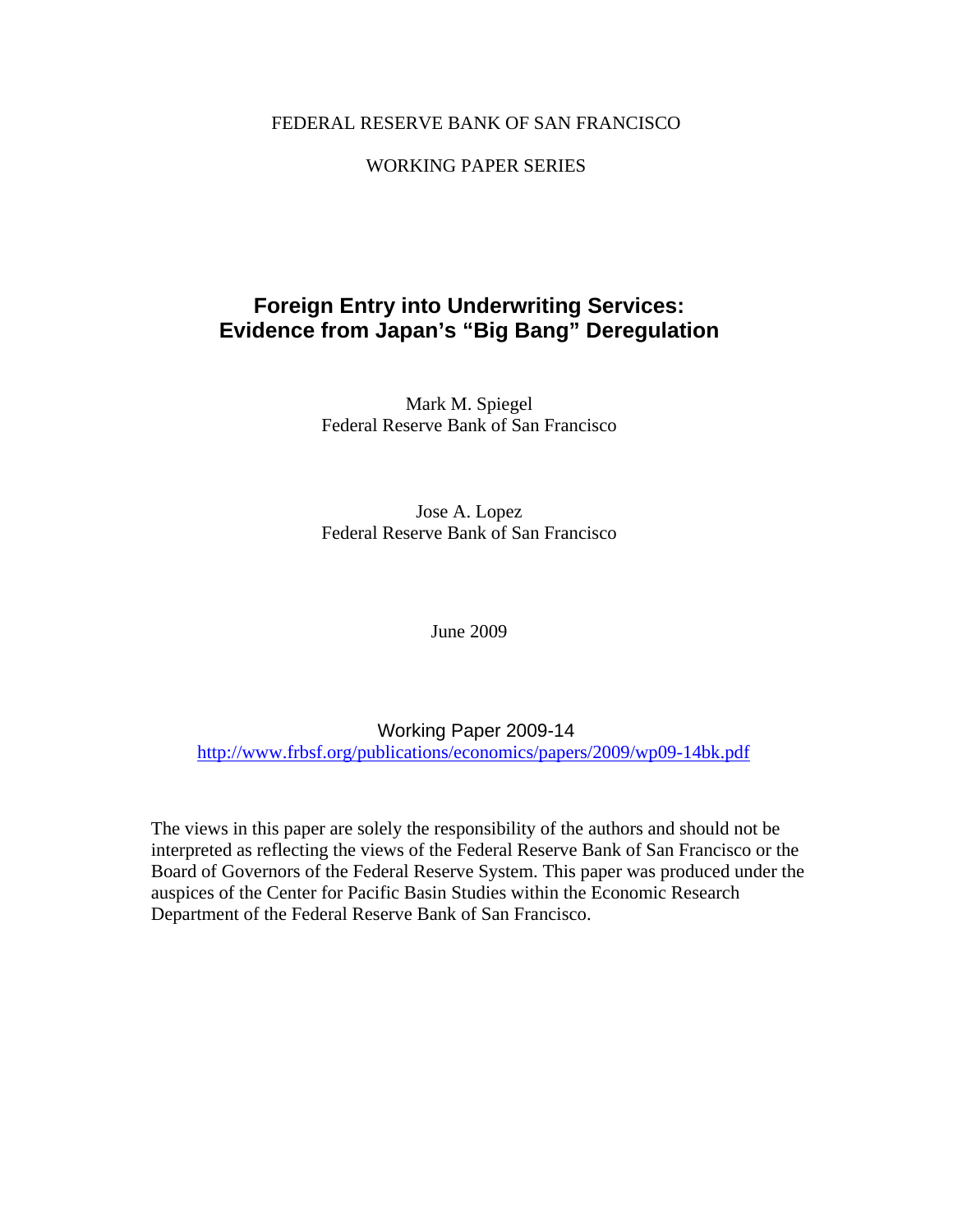# FEDERAL RESERVE BANK OF SAN FRANCISCO

# WORKING PAPER SERIES

# **Foreign Entry into Underwriting Services: Evidence from Japan's "Big Bang" Deregulation**

Mark M. Spiegel Federal Reserve Bank of San Francisco

Jose A. Lopez Federal Reserve Bank of San Francisco

June 2009

Working Paper 2009-14 http://www.frbsf.org/publications/economics/papers/2009/wp09-14bk.pdf

The views in this paper are solely the responsibility of the authors and should not be interpreted as reflecting the views of the Federal Reserve Bank of San Francisco or the Board of Governors of the Federal Reserve System. This paper was produced under the auspices of the Center for Pacific Basin Studies within the Economic Research Department of the Federal Reserve Bank of San Francisco.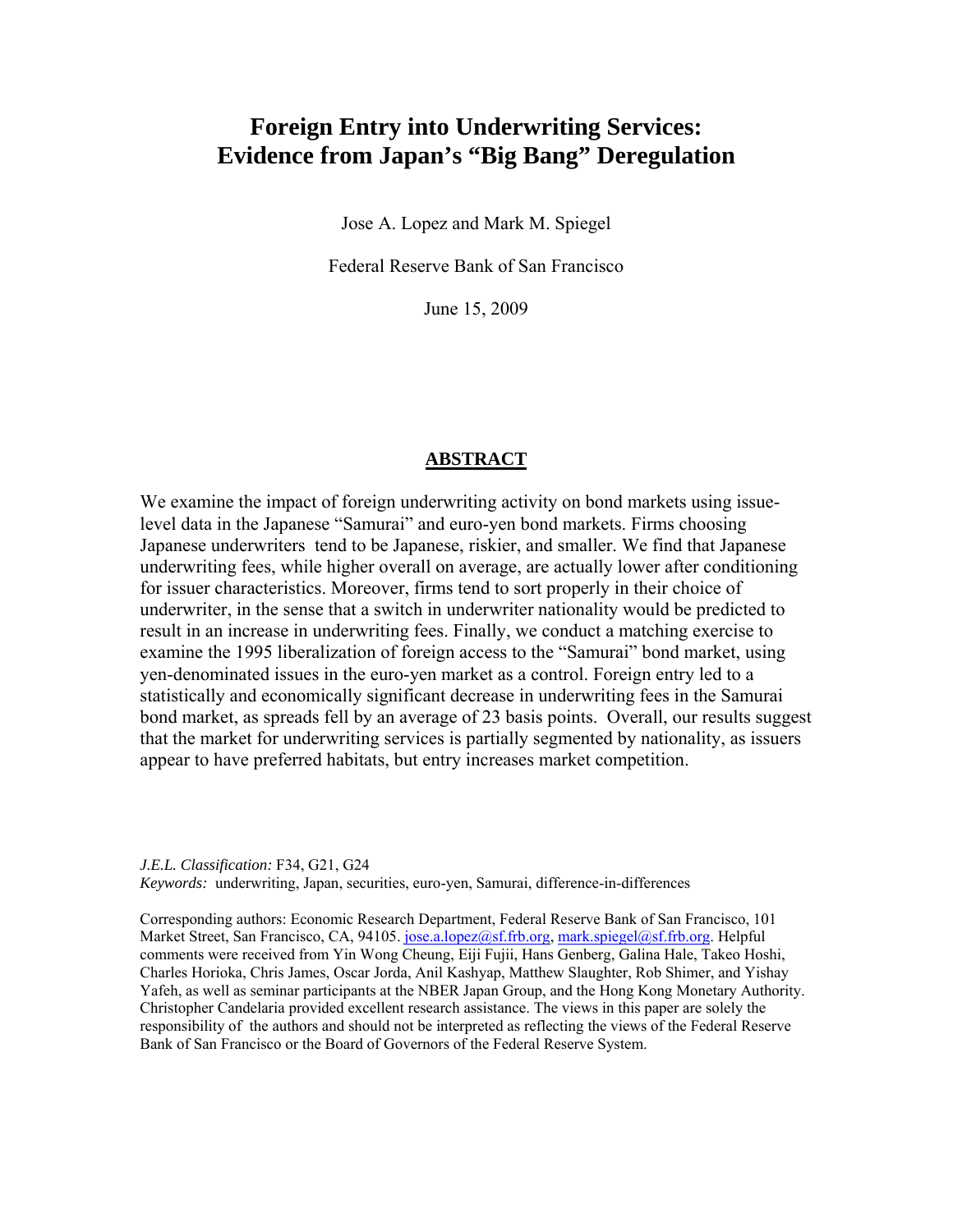# **Foreign Entry into Underwriting Services: Evidence from Japan's "Big Bang" Deregulation**

Jose A. Lopez and Mark M. Spiegel

Federal Reserve Bank of San Francisco

June 15, 2009

#### **ABSTRACT**

We examine the impact of foreign underwriting activity on bond markets using issuelevel data in the Japanese "Samurai" and euro-yen bond markets. Firms choosing Japanese underwriters tend to be Japanese, riskier, and smaller. We find that Japanese underwriting fees, while higher overall on average, are actually lower after conditioning for issuer characteristics. Moreover, firms tend to sort properly in their choice of underwriter, in the sense that a switch in underwriter nationality would be predicted to result in an increase in underwriting fees. Finally, we conduct a matching exercise to examine the 1995 liberalization of foreign access to the "Samurai" bond market, using yen-denominated issues in the euro-yen market as a control. Foreign entry led to a statistically and economically significant decrease in underwriting fees in the Samurai bond market, as spreads fell by an average of 23 basis points. Overall, our results suggest that the market for underwriting services is partially segmented by nationality, as issuers appear to have preferred habitats, but entry increases market competition.

*J.E.L. Classification:* F34, G21, G24 *Keywords:* underwriting, Japan, securities, euro-yen, Samurai, difference-in-differences

Corresponding authors: Economic Research Department, Federal Reserve Bank of San Francisco, 101 Market Street, San Francisco, CA, 94105. jose.a.lopez@sf.frb.org, mark.spiegel@sf.frb.org. Helpful comments were received from Yin Wong Cheung, Eiji Fujii, Hans Genberg, Galina Hale, Takeo Hoshi, Charles Horioka, Chris James, Oscar Jorda, Anil Kashyap, Matthew Slaughter, Rob Shimer, and Yishay Yafeh, as well as seminar participants at the NBER Japan Group, and the Hong Kong Monetary Authority. Christopher Candelaria provided excellent research assistance. The views in this paper are solely the responsibility of the authors and should not be interpreted as reflecting the views of the Federal Reserve Bank of San Francisco or the Board of Governors of the Federal Reserve System.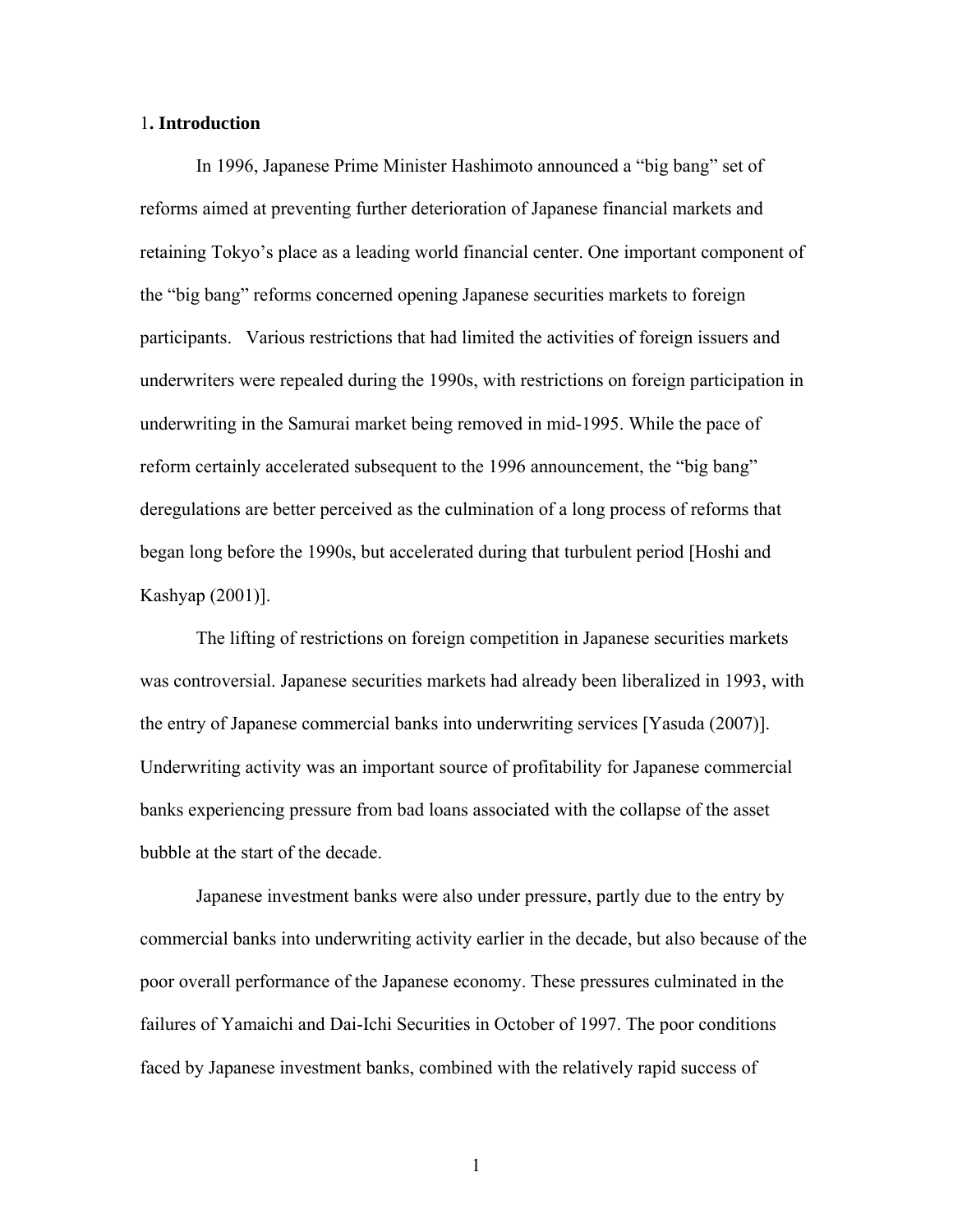## 1**. Introduction**

In 1996, Japanese Prime Minister Hashimoto announced a "big bang" set of reforms aimed at preventing further deterioration of Japanese financial markets and retaining Tokyo's place as a leading world financial center. One important component of the "big bang" reforms concerned opening Japanese securities markets to foreign participants. Various restrictions that had limited the activities of foreign issuers and underwriters were repealed during the 1990s, with restrictions on foreign participation in underwriting in the Samurai market being removed in mid-1995. While the pace of reform certainly accelerated subsequent to the 1996 announcement, the "big bang" deregulations are better perceived as the culmination of a long process of reforms that began long before the 1990s, but accelerated during that turbulent period [Hoshi and Kashyap (2001)].

The lifting of restrictions on foreign competition in Japanese securities markets was controversial. Japanese securities markets had already been liberalized in 1993, with the entry of Japanese commercial banks into underwriting services [Yasuda (2007)]. Underwriting activity was an important source of profitability for Japanese commercial banks experiencing pressure from bad loans associated with the collapse of the asset bubble at the start of the decade.

Japanese investment banks were also under pressure, partly due to the entry by commercial banks into underwriting activity earlier in the decade, but also because of the poor overall performance of the Japanese economy. These pressures culminated in the failures of Yamaichi and Dai-Ichi Securities in October of 1997. The poor conditions faced by Japanese investment banks, combined with the relatively rapid success of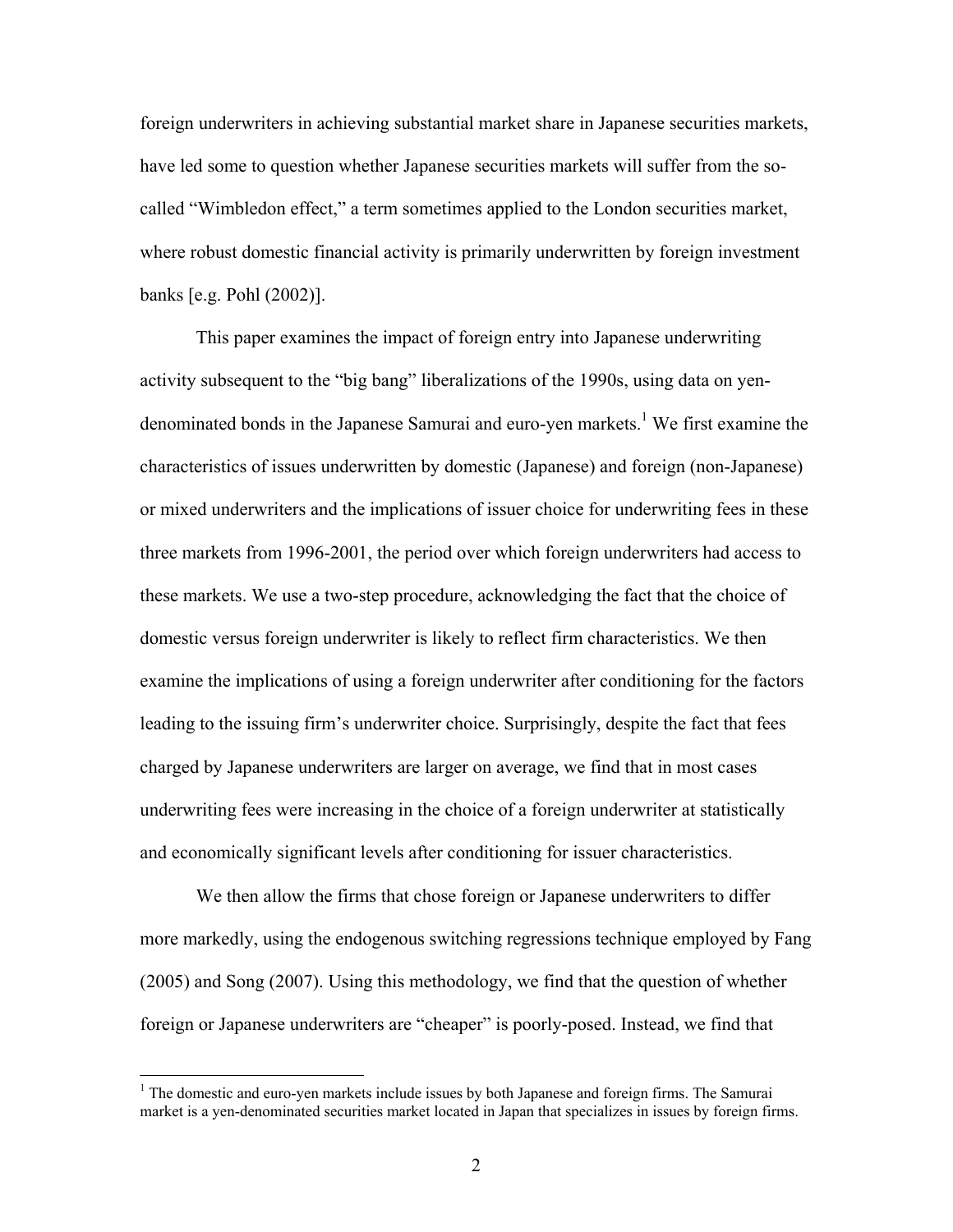foreign underwriters in achieving substantial market share in Japanese securities markets, have led some to question whether Japanese securities markets will suffer from the socalled "Wimbledon effect," a term sometimes applied to the London securities market, where robust domestic financial activity is primarily underwritten by foreign investment banks [e.g. Pohl (2002)].

This paper examines the impact of foreign entry into Japanese underwriting activity subsequent to the "big bang" liberalizations of the 1990s, using data on yendenominated bonds in the Japanese Samurai and euro-yen markets.<sup>1</sup> We first examine the characteristics of issues underwritten by domestic (Japanese) and foreign (non-Japanese) or mixed underwriters and the implications of issuer choice for underwriting fees in these three markets from 1996-2001, the period over which foreign underwriters had access to these markets. We use a two-step procedure, acknowledging the fact that the choice of domestic versus foreign underwriter is likely to reflect firm characteristics. We then examine the implications of using a foreign underwriter after conditioning for the factors leading to the issuing firm's underwriter choice. Surprisingly, despite the fact that fees charged by Japanese underwriters are larger on average, we find that in most cases underwriting fees were increasing in the choice of a foreign underwriter at statistically and economically significant levels after conditioning for issuer characteristics.

We then allow the firms that chose foreign or Japanese underwriters to differ more markedly, using the endogenous switching regressions technique employed by Fang (2005) and Song (2007). Using this methodology, we find that the question of whether foreign or Japanese underwriters are "cheaper" is poorly-posed. Instead, we find that

 $\overline{a}$ 

<sup>&</sup>lt;sup>1</sup> The domestic and euro-yen markets include issues by both Japanese and foreign firms. The Samurai market is a yen-denominated securities market located in Japan that specializes in issues by foreign firms.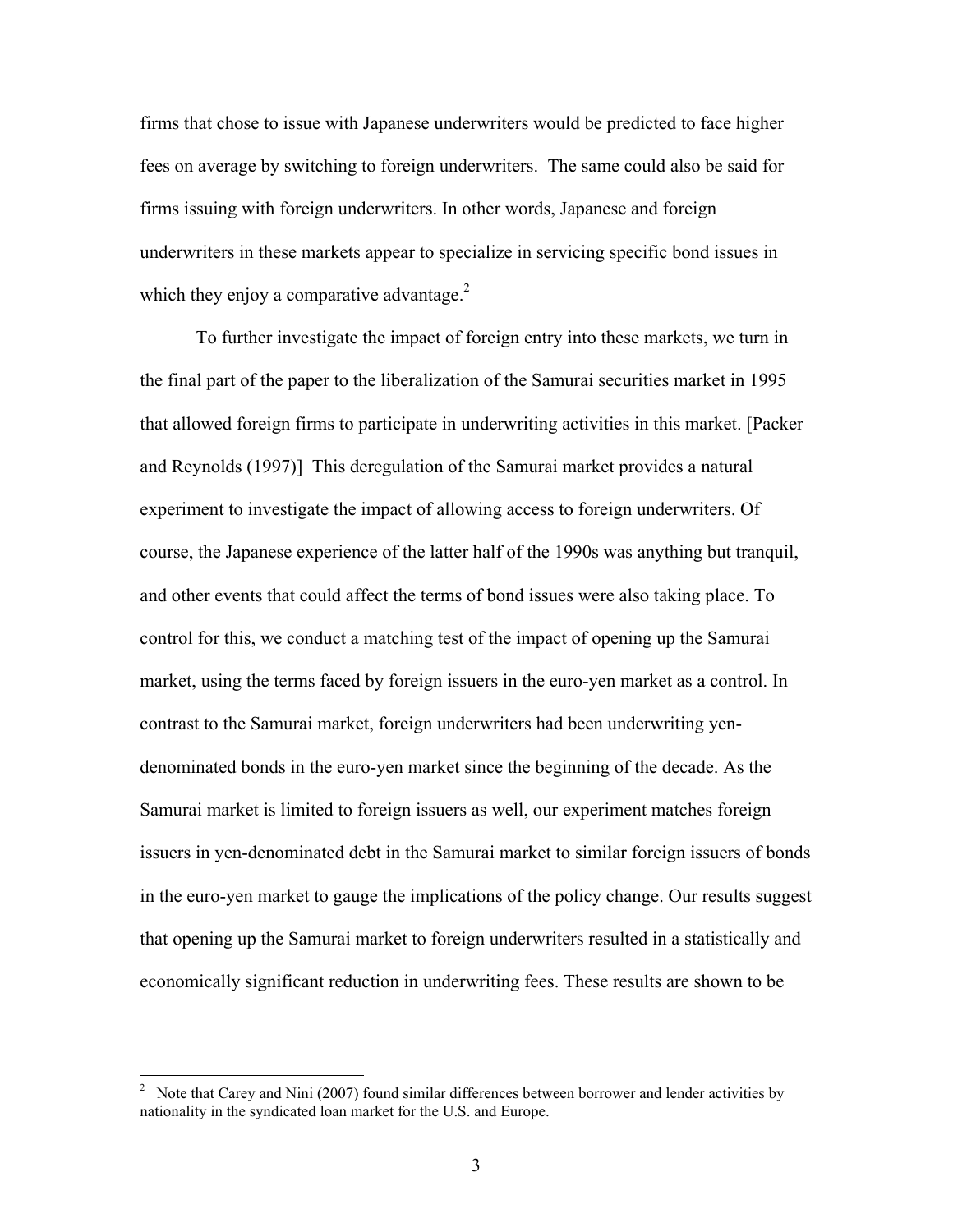firms that chose to issue with Japanese underwriters would be predicted to face higher fees on average by switching to foreign underwriters. The same could also be said for firms issuing with foreign underwriters. In other words, Japanese and foreign underwriters in these markets appear to specialize in servicing specific bond issues in which they enjoy a comparative advantage. $2$ 

To further investigate the impact of foreign entry into these markets, we turn in the final part of the paper to the liberalization of the Samurai securities market in 1995 that allowed foreign firms to participate in underwriting activities in this market. [Packer and Reynolds (1997)] This deregulation of the Samurai market provides a natural experiment to investigate the impact of allowing access to foreign underwriters. Of course, the Japanese experience of the latter half of the 1990s was anything but tranquil, and other events that could affect the terms of bond issues were also taking place. To control for this, we conduct a matching test of the impact of opening up the Samurai market, using the terms faced by foreign issuers in the euro-yen market as a control. In contrast to the Samurai market, foreign underwriters had been underwriting yendenominated bonds in the euro-yen market since the beginning of the decade. As the Samurai market is limited to foreign issuers as well, our experiment matches foreign issuers in yen-denominated debt in the Samurai market to similar foreign issuers of bonds in the euro-yen market to gauge the implications of the policy change. Our results suggest that opening up the Samurai market to foreign underwriters resulted in a statistically and economically significant reduction in underwriting fees. These results are shown to be

 $\frac{1}{2}$  Note that Carey and Nini (2007) found similar differences between borrower and lender activities by nationality in the syndicated loan market for the U.S. and Europe.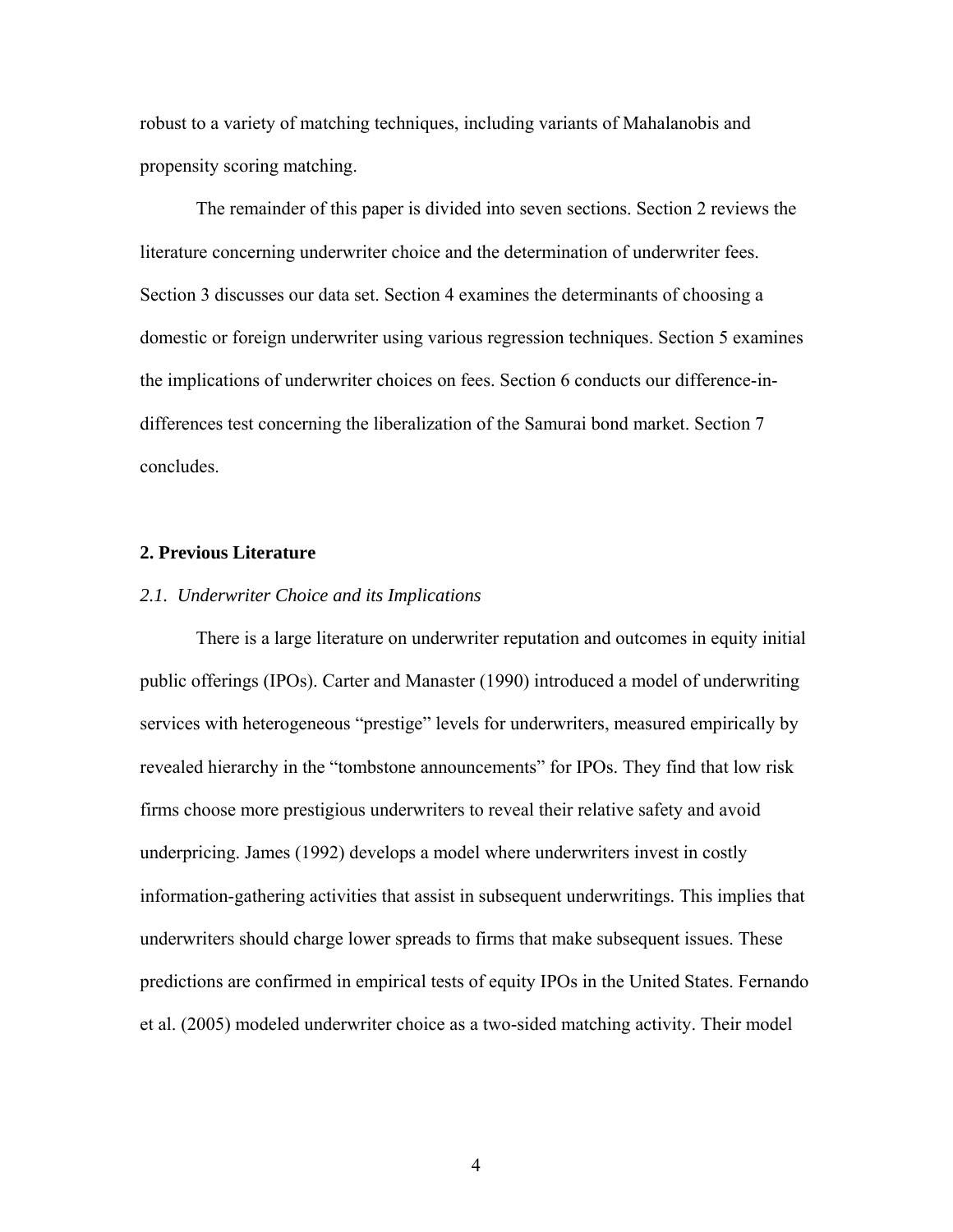robust to a variety of matching techniques, including variants of Mahalanobis and propensity scoring matching.

The remainder of this paper is divided into seven sections. Section 2 reviews the literature concerning underwriter choice and the determination of underwriter fees. Section 3 discusses our data set. Section 4 examines the determinants of choosing a domestic or foreign underwriter using various regression techniques. Section 5 examines the implications of underwriter choices on fees. Section 6 conducts our difference-indifferences test concerning the liberalization of the Samurai bond market. Section 7 concludes.

## **2. Previous Literature**

#### *2.1. Underwriter Choice and its Implications*

 There is a large literature on underwriter reputation and outcomes in equity initial public offerings (IPOs). Carter and Manaster (1990) introduced a model of underwriting services with heterogeneous "prestige" levels for underwriters, measured empirically by revealed hierarchy in the "tombstone announcements" for IPOs. They find that low risk firms choose more prestigious underwriters to reveal their relative safety and avoid underpricing. James (1992) develops a model where underwriters invest in costly information-gathering activities that assist in subsequent underwritings. This implies that underwriters should charge lower spreads to firms that make subsequent issues. These predictions are confirmed in empirical tests of equity IPOs in the United States. Fernando et al. (2005) modeled underwriter choice as a two-sided matching activity. Their model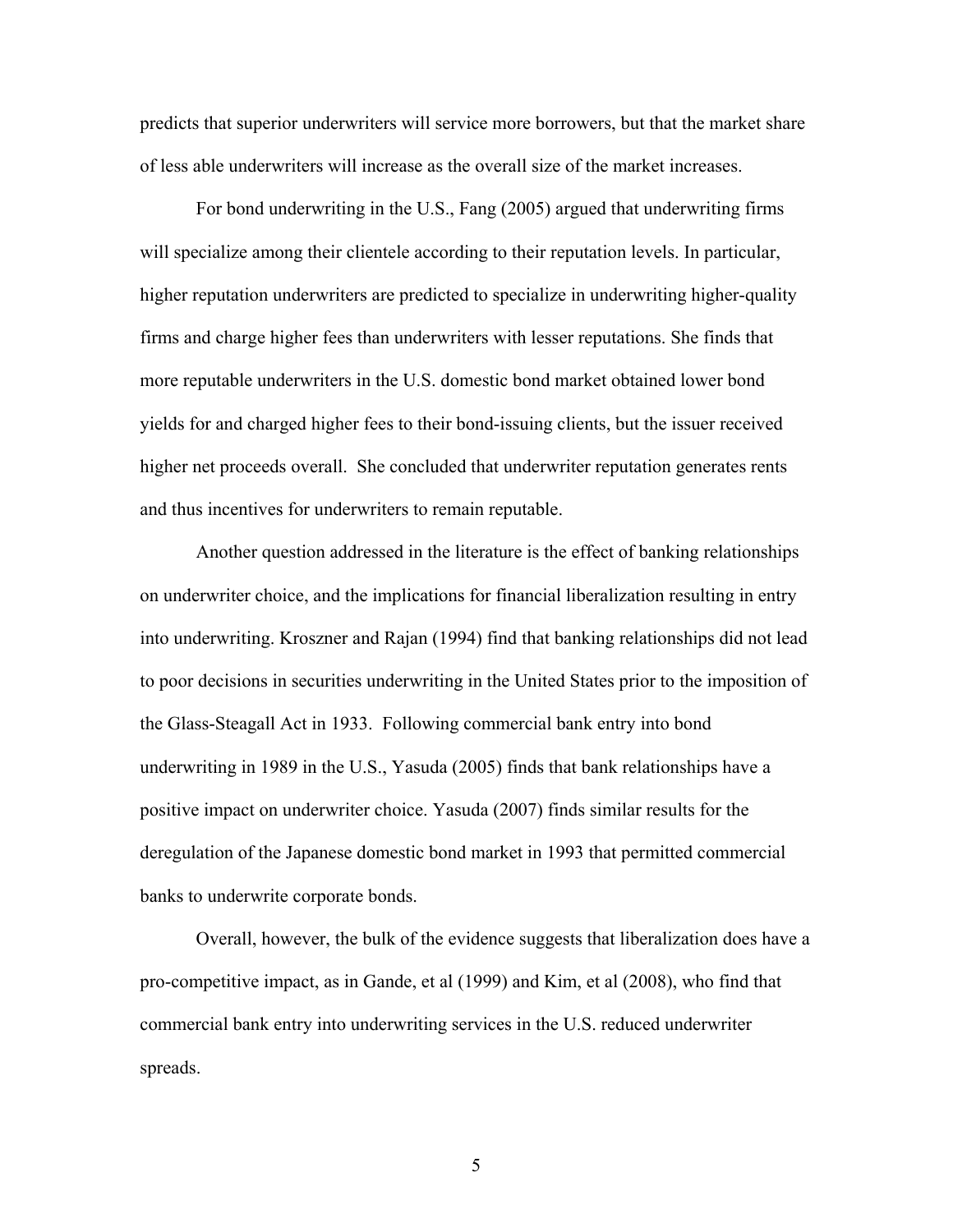predicts that superior underwriters will service more borrowers, but that the market share of less able underwriters will increase as the overall size of the market increases.

For bond underwriting in the U.S., Fang (2005) argued that underwriting firms will specialize among their clientele according to their reputation levels. In particular, higher reputation underwriters are predicted to specialize in underwriting higher-quality firms and charge higher fees than underwriters with lesser reputations. She finds that more reputable underwriters in the U.S. domestic bond market obtained lower bond yields for and charged higher fees to their bond-issuing clients, but the issuer received higher net proceeds overall. She concluded that underwriter reputation generates rents and thus incentives for underwriters to remain reputable.

 Another question addressed in the literature is the effect of banking relationships on underwriter choice, and the implications for financial liberalization resulting in entry into underwriting. Kroszner and Rajan (1994) find that banking relationships did not lead to poor decisions in securities underwriting in the United States prior to the imposition of the Glass-Steagall Act in 1933. Following commercial bank entry into bond underwriting in 1989 in the U.S., Yasuda (2005) finds that bank relationships have a positive impact on underwriter choice. Yasuda (2007) finds similar results for the deregulation of the Japanese domestic bond market in 1993 that permitted commercial banks to underwrite corporate bonds.

Overall, however, the bulk of the evidence suggests that liberalization does have a pro-competitive impact, as in Gande, et al (1999) and Kim, et al (2008), who find that commercial bank entry into underwriting services in the U.S. reduced underwriter spreads.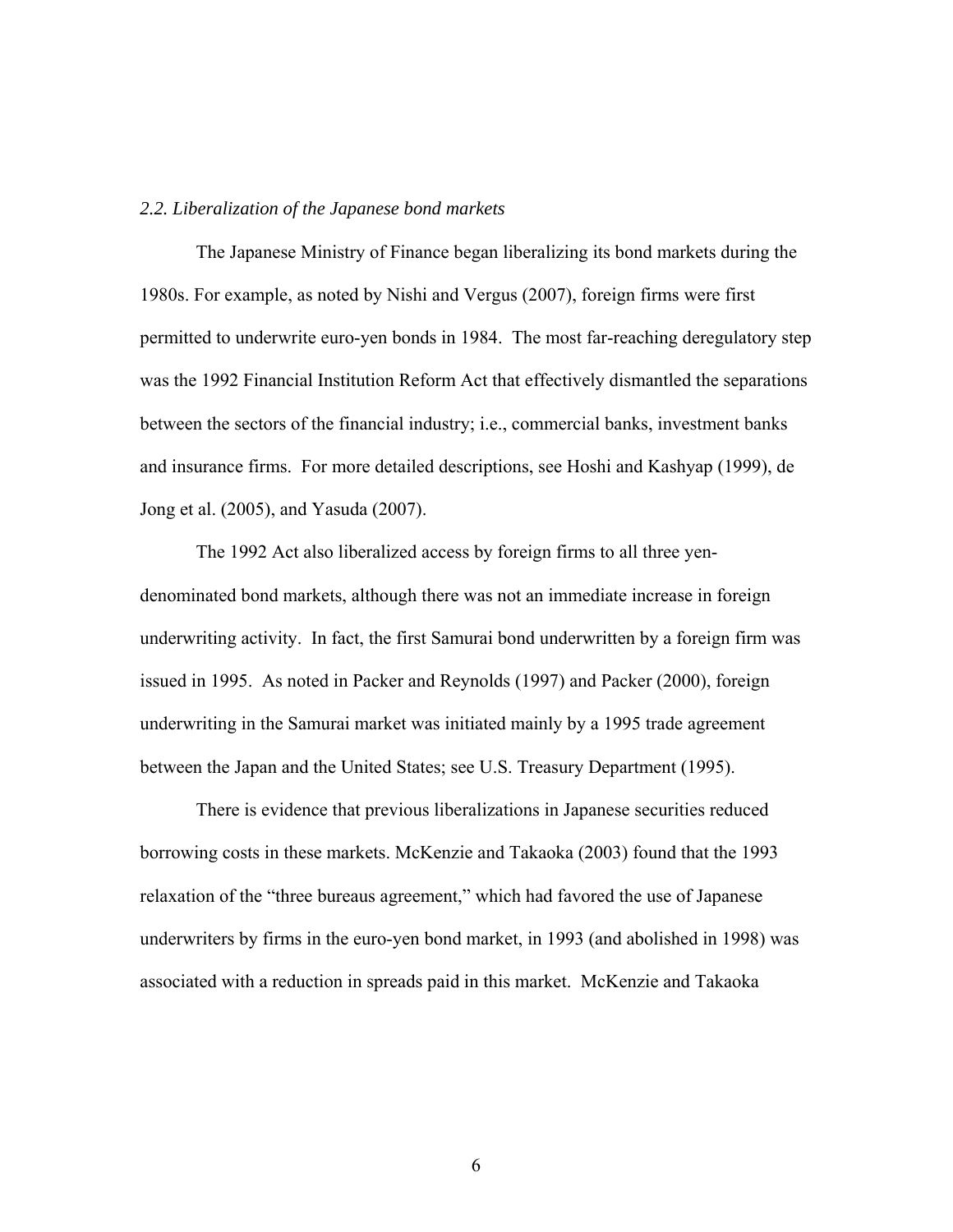## *2.2. Liberalization of the Japanese bond markets*

The Japanese Ministry of Finance began liberalizing its bond markets during the 1980s. For example, as noted by Nishi and Vergus (2007), foreign firms were first permitted to underwrite euro-yen bonds in 1984. The most far-reaching deregulatory step was the 1992 Financial Institution Reform Act that effectively dismantled the separations between the sectors of the financial industry; i.e., commercial banks, investment banks and insurance firms. For more detailed descriptions, see Hoshi and Kashyap (1999), de Jong et al. (2005), and Yasuda (2007).

The 1992 Act also liberalized access by foreign firms to all three yendenominated bond markets, although there was not an immediate increase in foreign underwriting activity. In fact, the first Samurai bond underwritten by a foreign firm was issued in 1995. As noted in Packer and Reynolds (1997) and Packer (2000), foreign underwriting in the Samurai market was initiated mainly by a 1995 trade agreement between the Japan and the United States; see U.S. Treasury Department (1995).

 There is evidence that previous liberalizations in Japanese securities reduced borrowing costs in these markets. McKenzie and Takaoka (2003) found that the 1993 relaxation of the "three bureaus agreement," which had favored the use of Japanese underwriters by firms in the euro-yen bond market, in 1993 (and abolished in 1998) was associated with a reduction in spreads paid in this market. McKenzie and Takaoka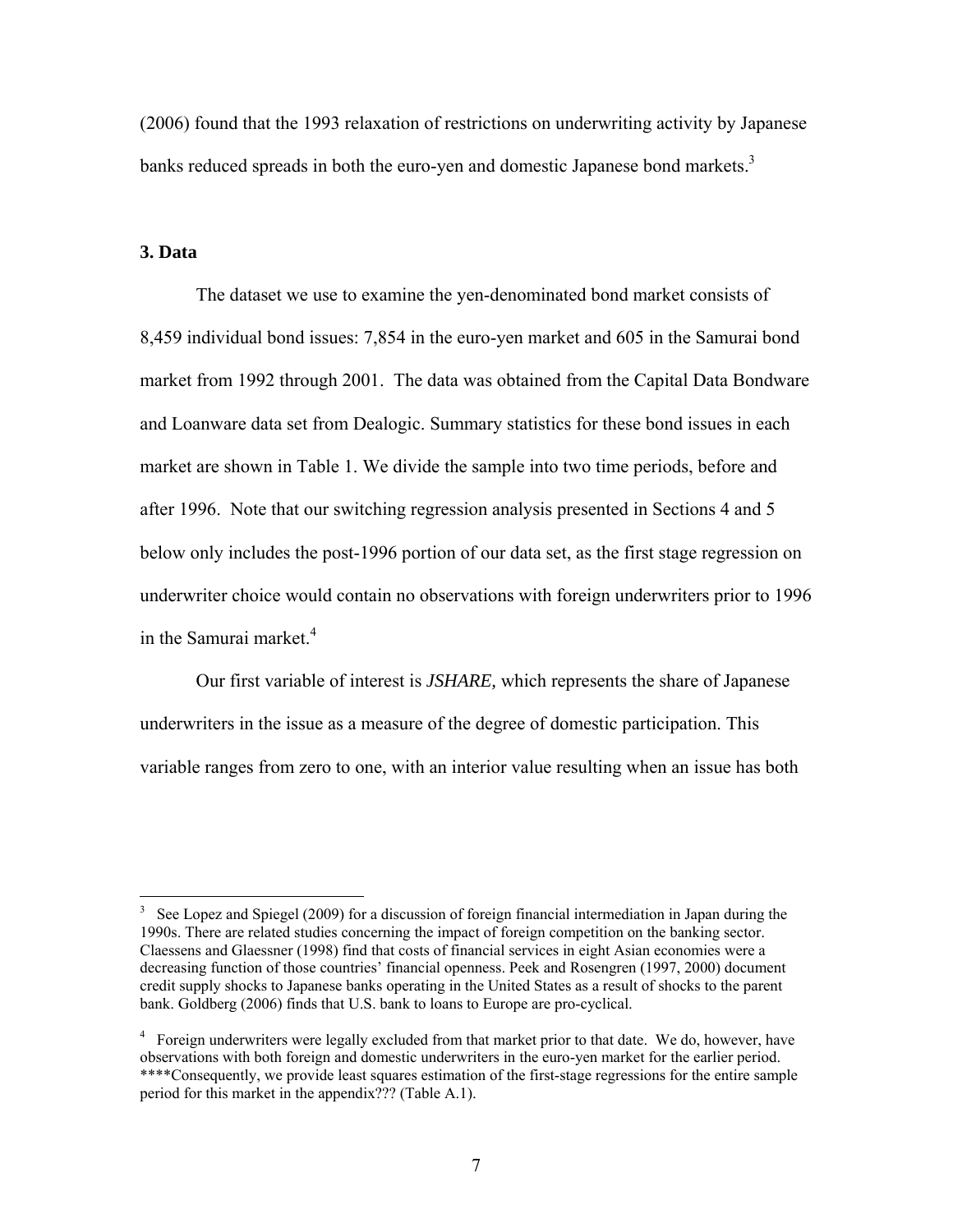(2006) found that the 1993 relaxation of restrictions on underwriting activity by Japanese banks reduced spreads in both the euro-yen and domestic Japanese bond markets.<sup>3</sup>

## **3. Data**

 The dataset we use to examine the yen-denominated bond market consists of 8,459 individual bond issues: 7,854 in the euro-yen market and 605 in the Samurai bond market from 1992 through 2001. The data was obtained from the Capital Data Bondware and Loanware data set from Dealogic. Summary statistics for these bond issues in each market are shown in Table 1. We divide the sample into two time periods, before and after 1996. Note that our switching regression analysis presented in Sections 4 and 5 below only includes the post-1996 portion of our data set, as the first stage regression on underwriter choice would contain no observations with foreign underwriters prior to 1996 in the Samurai market.<sup>4</sup>

 Our first variable of interest is *JSHARE,* which represents the share of Japanese underwriters in the issue as a measure of the degree of domestic participation. This variable ranges from zero to one, with an interior value resulting when an issue has both

 3 See Lopez and Spiegel (2009) for a discussion of foreign financial intermediation in Japan during the 1990s. There are related studies concerning the impact of foreign competition on the banking sector. Claessens and Glaessner (1998) find that costs of financial services in eight Asian economies were a decreasing function of those countries' financial openness. Peek and Rosengren (1997, 2000) document credit supply shocks to Japanese banks operating in the United States as a result of shocks to the parent bank. Goldberg (2006) finds that U.S. bank to loans to Europe are pro-cyclical.

<sup>&</sup>lt;sup>4</sup> Foreign underwriters were legally excluded from that market prior to that date. We do, however, have observations with both foreign and domestic underwriters in the euro-yen market for the earlier period. \*\*\*\*Consequently, we provide least squares estimation of the first-stage regressions for the entire sample period for this market in the appendix??? (Table A.1).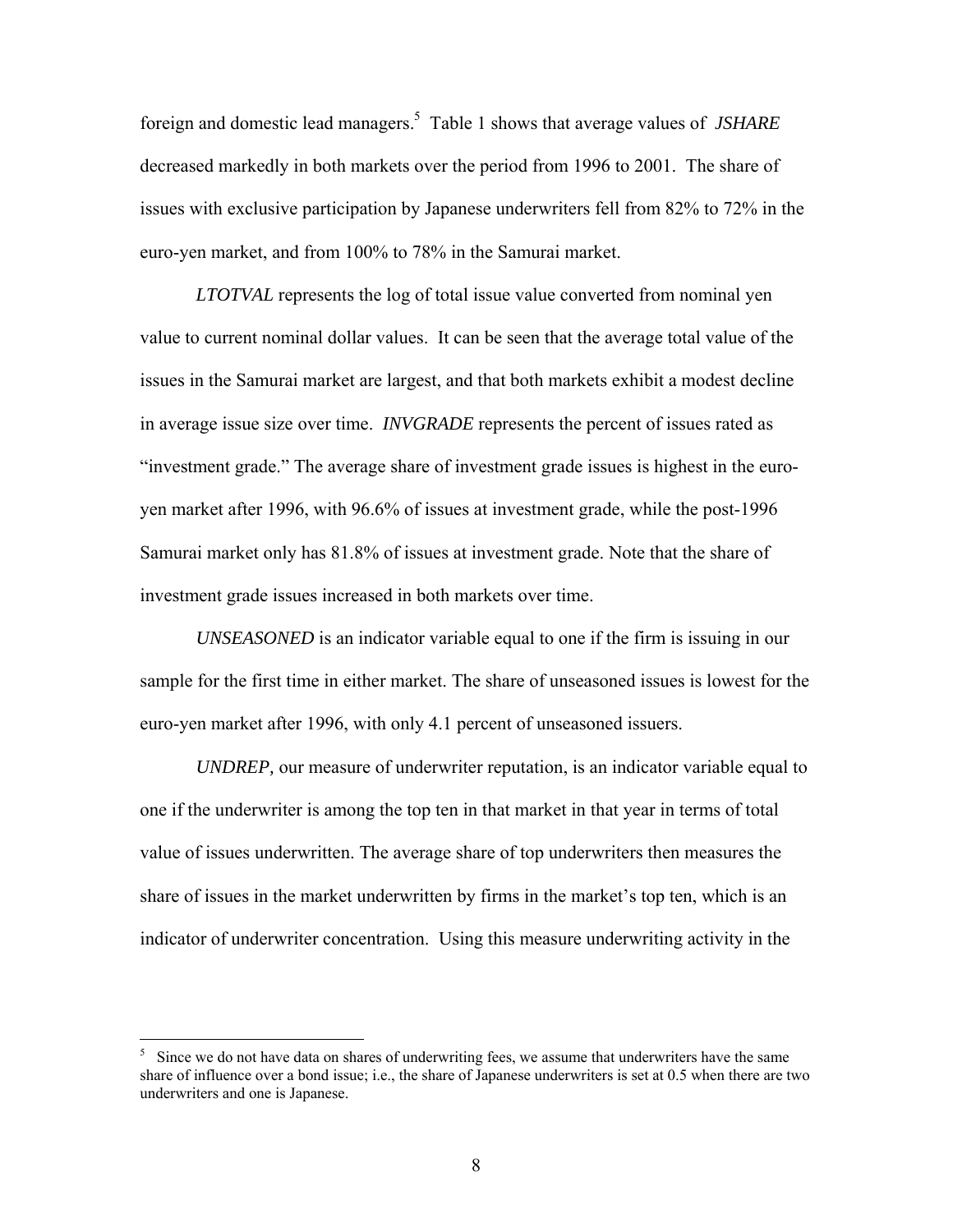foreign and domestic lead managers.5 Table 1 shows that average values of *JSHARE* decreased markedly in both markets over the period from 1996 to 2001. The share of issues with exclusive participation by Japanese underwriters fell from 82% to 72% in the euro-yen market, and from 100% to 78% in the Samurai market.

*LTOTVAL* represents the log of total issue value converted from nominal yen value to current nominal dollar values. It can be seen that the average total value of the issues in the Samurai market are largest, and that both markets exhibit a modest decline in average issue size over time. *INVGRADE* represents the percent of issues rated as "investment grade." The average share of investment grade issues is highest in the euroyen market after 1996, with 96.6% of issues at investment grade, while the post-1996 Samurai market only has 81.8% of issues at investment grade. Note that the share of investment grade issues increased in both markets over time.

*UNSEASONED* is an indicator variable equal to one if the firm is issuing in our sample for the first time in either market. The share of unseasoned issues is lowest for the euro-yen market after 1996, with only 4.1 percent of unseasoned issuers.

*UNDREP,* our measure of underwriter reputation, is an indicator variable equal to one if the underwriter is among the top ten in that market in that year in terms of total value of issues underwritten. The average share of top underwriters then measures the share of issues in the market underwritten by firms in the market's top ten, which is an indicator of underwriter concentration. Using this measure underwriting activity in the

 $\overline{a}$ 

<sup>5</sup> Since we do not have data on shares of underwriting fees, we assume that underwriters have the same share of influence over a bond issue; i.e., the share of Japanese underwriters is set at 0.5 when there are two underwriters and one is Japanese.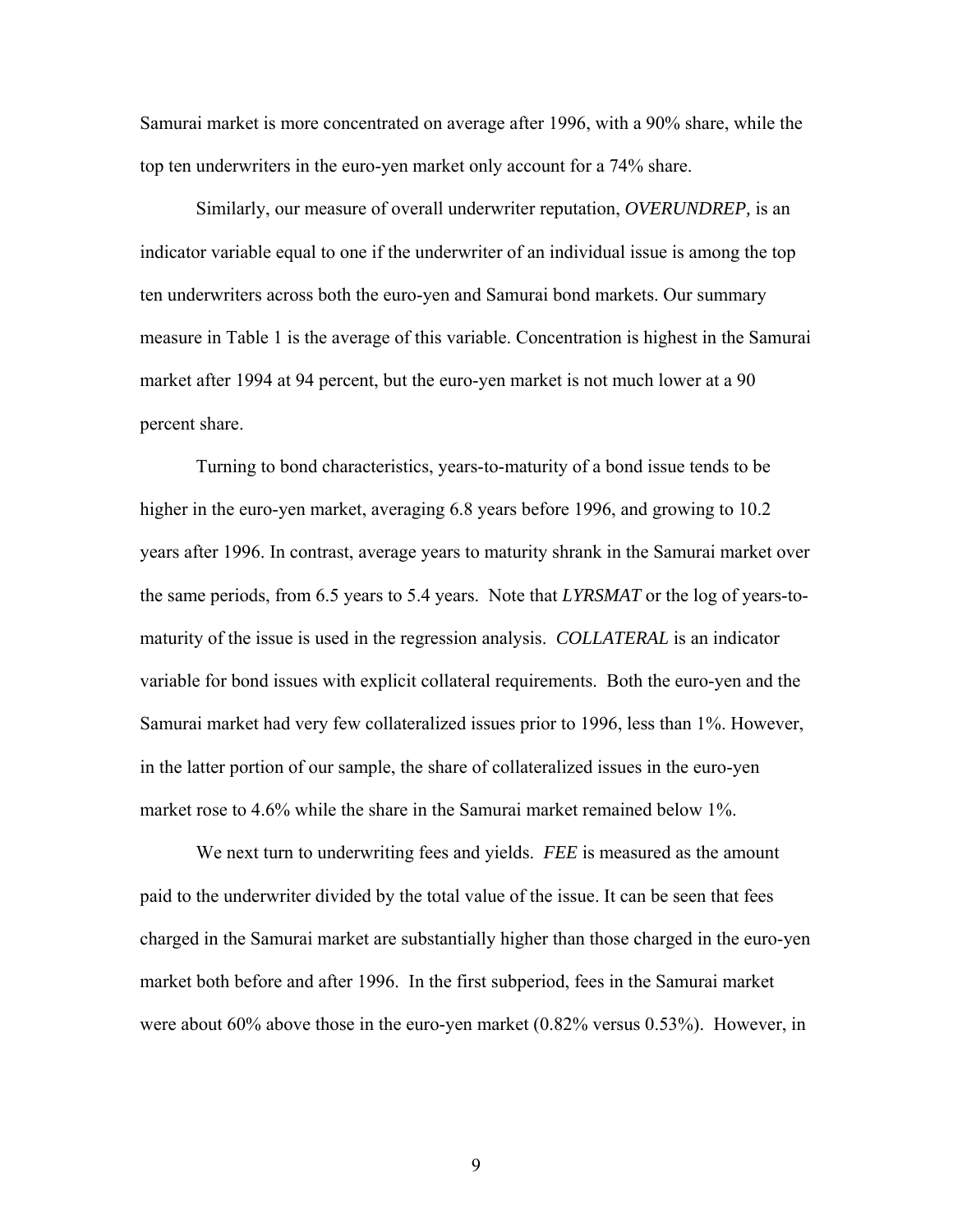Samurai market is more concentrated on average after 1996, with a 90% share, while the top ten underwriters in the euro-yen market only account for a 74% share.

Similarly, our measure of overall underwriter reputation, *OVERUNDREP,* is an indicator variable equal to one if the underwriter of an individual issue is among the top ten underwriters across both the euro-yen and Samurai bond markets. Our summary measure in Table 1 is the average of this variable. Concentration is highest in the Samurai market after 1994 at 94 percent, but the euro-yen market is not much lower at a 90 percent share.

Turning to bond characteristics, years-to-maturity of a bond issue tends to be higher in the euro-yen market, averaging 6.8 years before 1996, and growing to 10.2 years after 1996. In contrast, average years to maturity shrank in the Samurai market over the same periods, from 6.5 years to 5.4 years. Note that *LYRSMAT* or the log of years-tomaturity of the issue is used in the regression analysis. *COLLATERAL* is an indicator variable for bond issues with explicit collateral requirements. Both the euro-yen and the Samurai market had very few collateralized issues prior to 1996, less than 1%. However, in the latter portion of our sample, the share of collateralized issues in the euro-yen market rose to 4.6% while the share in the Samurai market remained below 1%.

 We next turn to underwriting fees and yields. *FEE* is measured as the amount paid to the underwriter divided by the total value of the issue. It can be seen that fees charged in the Samurai market are substantially higher than those charged in the euro-yen market both before and after 1996. In the first subperiod, fees in the Samurai market were about 60% above those in the euro-yen market (0.82% versus 0.53%). However, in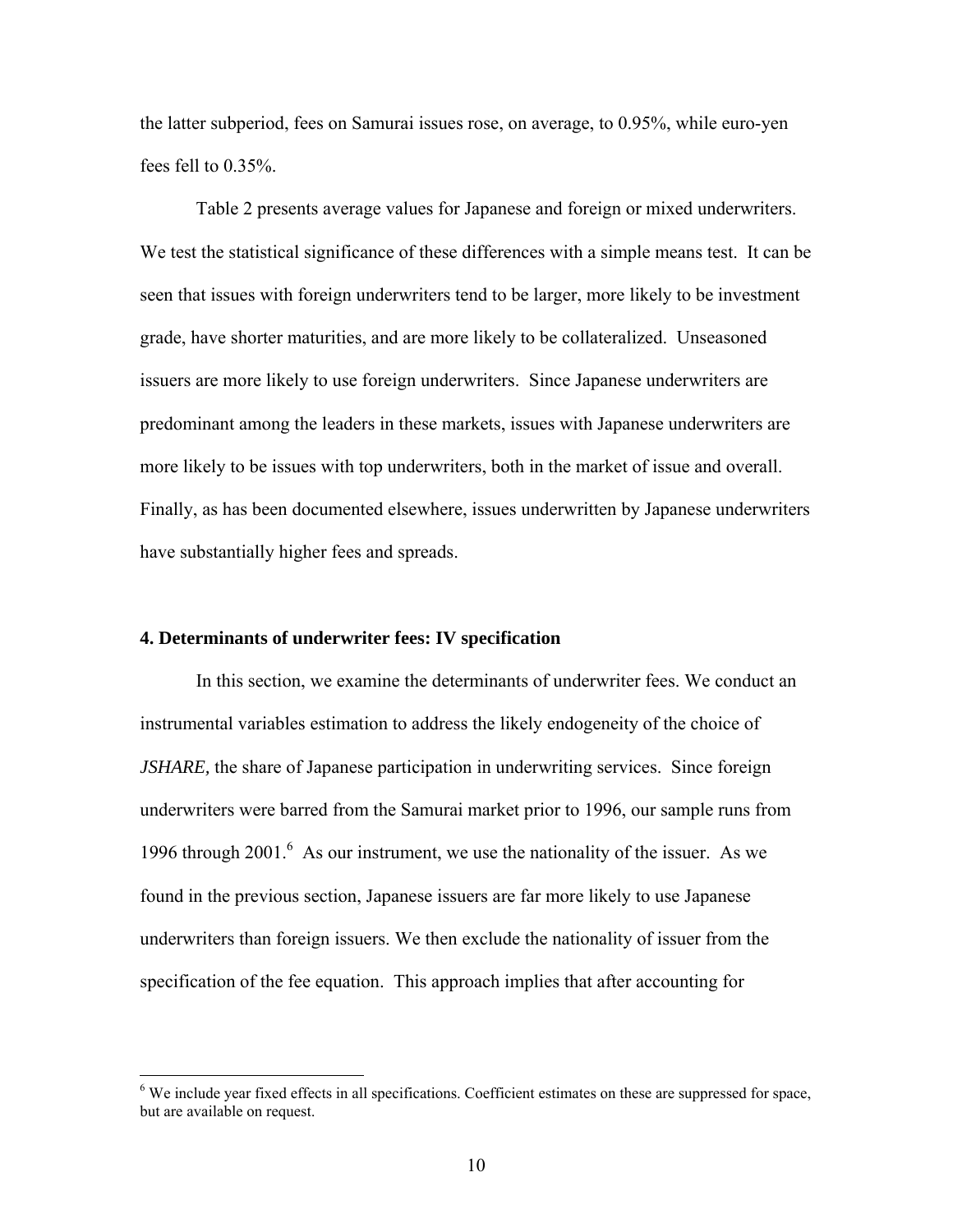the latter subperiod, fees on Samurai issues rose, on average, to 0.95%, while euro-yen fees fell to 0.35%.

 Table 2 presents average values for Japanese and foreign or mixed underwriters. We test the statistical significance of these differences with a simple means test. It can be seen that issues with foreign underwriters tend to be larger, more likely to be investment grade, have shorter maturities, and are more likely to be collateralized. Unseasoned issuers are more likely to use foreign underwriters. Since Japanese underwriters are predominant among the leaders in these markets, issues with Japanese underwriters are more likely to be issues with top underwriters, both in the market of issue and overall. Finally, as has been documented elsewhere, issues underwritten by Japanese underwriters have substantially higher fees and spreads.

## **4. Determinants of underwriter fees: IV specification**

1

 In this section, we examine the determinants of underwriter fees. We conduct an instrumental variables estimation to address the likely endogeneity of the choice of *JSHARE,* the share of Japanese participation in underwriting services. Since foreign underwriters were barred from the Samurai market prior to 1996, our sample runs from 1996 through 2001.<sup>6</sup> As our instrument, we use the nationality of the issuer. As we found in the previous section, Japanese issuers are far more likely to use Japanese underwriters than foreign issuers. We then exclude the nationality of issuer from the specification of the fee equation. This approach implies that after accounting for

<sup>&</sup>lt;sup>6</sup> We include year fixed effects in all specifications. Coefficient estimates on these are suppressed for space, but are available on request.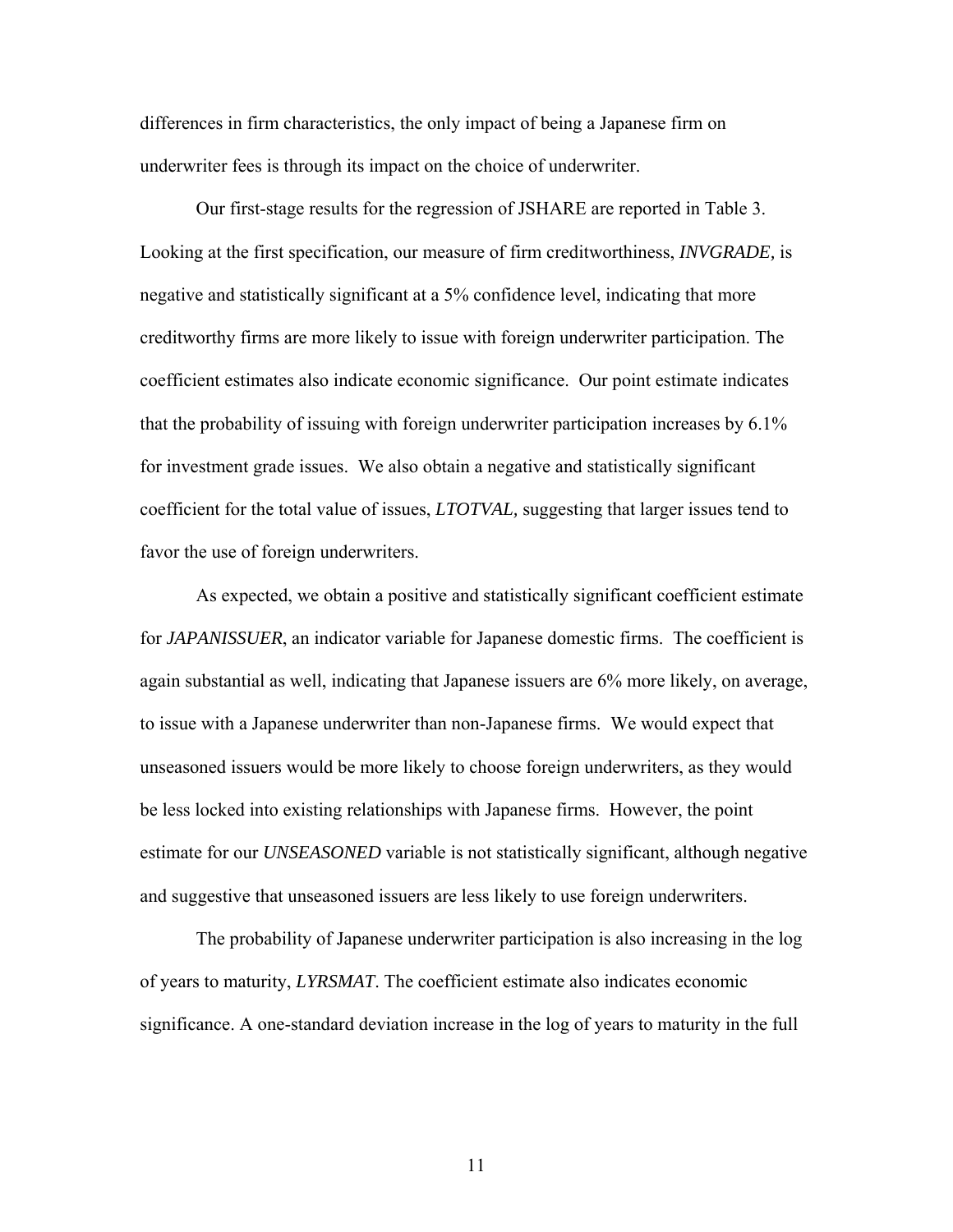differences in firm characteristics, the only impact of being a Japanese firm on underwriter fees is through its impact on the choice of underwriter.

Our first-stage results for the regression of JSHARE are reported in Table 3. Looking at the first specification, our measure of firm creditworthiness, *INVGRADE,* is negative and statistically significant at a 5% confidence level, indicating that more creditworthy firms are more likely to issue with foreign underwriter participation. The coefficient estimates also indicate economic significance. Our point estimate indicates that the probability of issuing with foreign underwriter participation increases by 6.1% for investment grade issues. We also obtain a negative and statistically significant coefficient for the total value of issues, *LTOTVAL,* suggesting that larger issues tend to favor the use of foreign underwriters.

 As expected, we obtain a positive and statistically significant coefficient estimate for *JAPANISSUER*, an indicator variable for Japanese domestic firms. The coefficient is again substantial as well, indicating that Japanese issuers are 6% more likely, on average, to issue with a Japanese underwriter than non-Japanese firms. We would expect that unseasoned issuers would be more likely to choose foreign underwriters, as they would be less locked into existing relationships with Japanese firms. However, the point estimate for our *UNSEASONED* variable is not statistically significant, although negative and suggestive that unseasoned issuers are less likely to use foreign underwriters.

 The probability of Japanese underwriter participation is also increasing in the log of years to maturity, *LYRSMAT*. The coefficient estimate also indicates economic significance. A one-standard deviation increase in the log of years to maturity in the full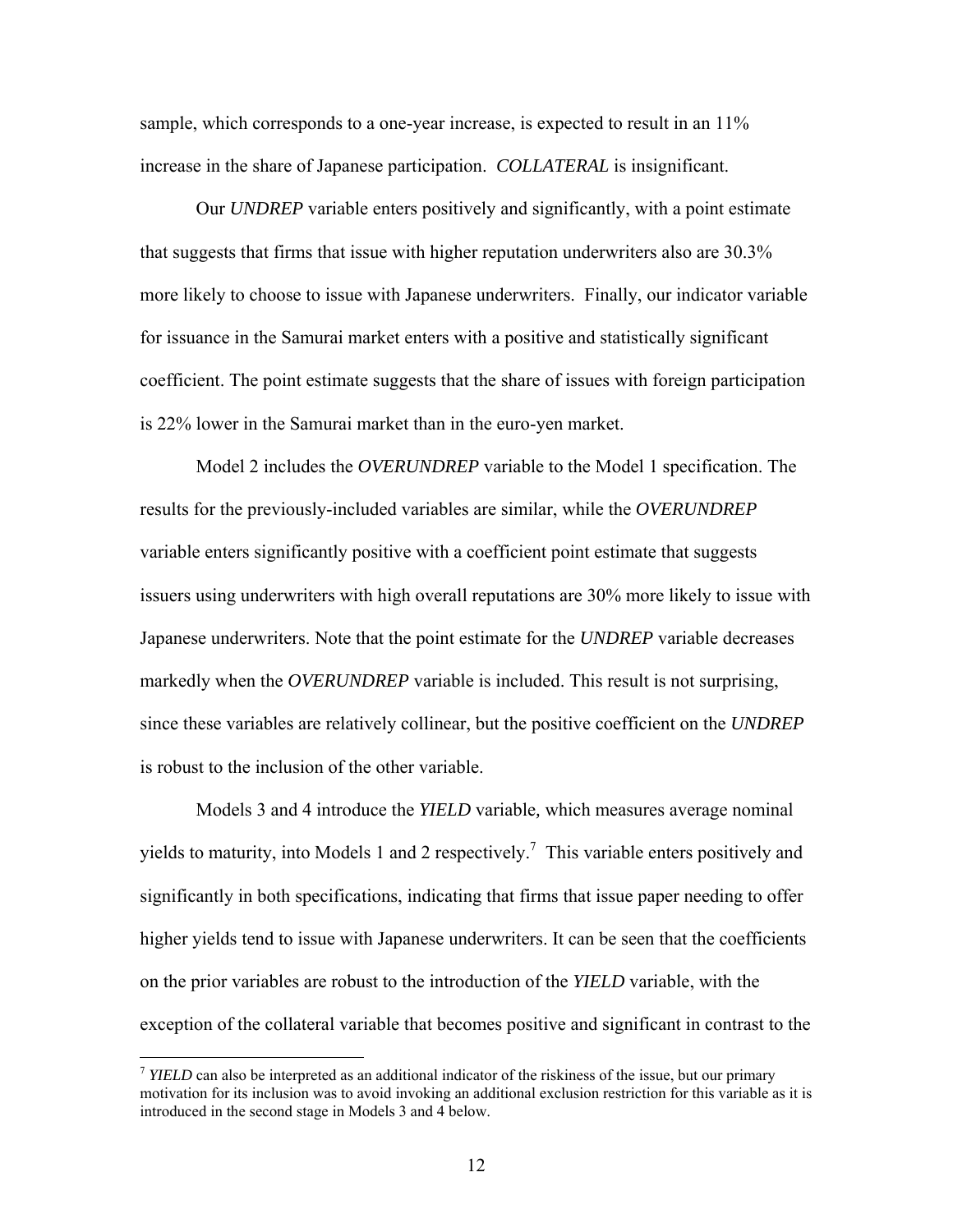sample, which corresponds to a one-year increase, is expected to result in an  $11\%$ increase in the share of Japanese participation. *COLLATERAL* is insignificant.

 Our *UNDREP* variable enters positively and significantly, with a point estimate that suggests that firms that issue with higher reputation underwriters also are 30.3% more likely to choose to issue with Japanese underwriters. Finally, our indicator variable for issuance in the Samurai market enters with a positive and statistically significant coefficient. The point estimate suggests that the share of issues with foreign participation is 22% lower in the Samurai market than in the euro-yen market.

 Model 2 includes the *OVERUNDREP* variable to the Model 1 specification. The results for the previously-included variables are similar, while the *OVERUNDREP*  variable enters significantly positive with a coefficient point estimate that suggests issuers using underwriters with high overall reputations are 30% more likely to issue with Japanese underwriters. Note that the point estimate for the *UNDREP* variable decreases markedly when the *OVERUNDREP* variable is included. This result is not surprising, since these variables are relatively collinear, but the positive coefficient on the *UNDREP*  is robust to the inclusion of the other variable.

 Models 3 and 4 introduce the *YIELD* variable*,* which measures average nominal yields to maturity, into Models 1 and 2 respectively.<sup>7</sup> This variable enters positively and significantly in both specifications, indicating that firms that issue paper needing to offer higher yields tend to issue with Japanese underwriters. It can be seen that the coefficients on the prior variables are robust to the introduction of the *YIELD* variable, with the exception of the collateral variable that becomes positive and significant in contrast to the

 $\overline{a}$ 

<sup>&</sup>lt;sup>7</sup> *YIELD* can also be interpreted as an additional indicator of the riskiness of the issue, but our primary motivation for its inclusion was to avoid invoking an additional exclusion restriction for this variable as it is introduced in the second stage in Models 3 and 4 below.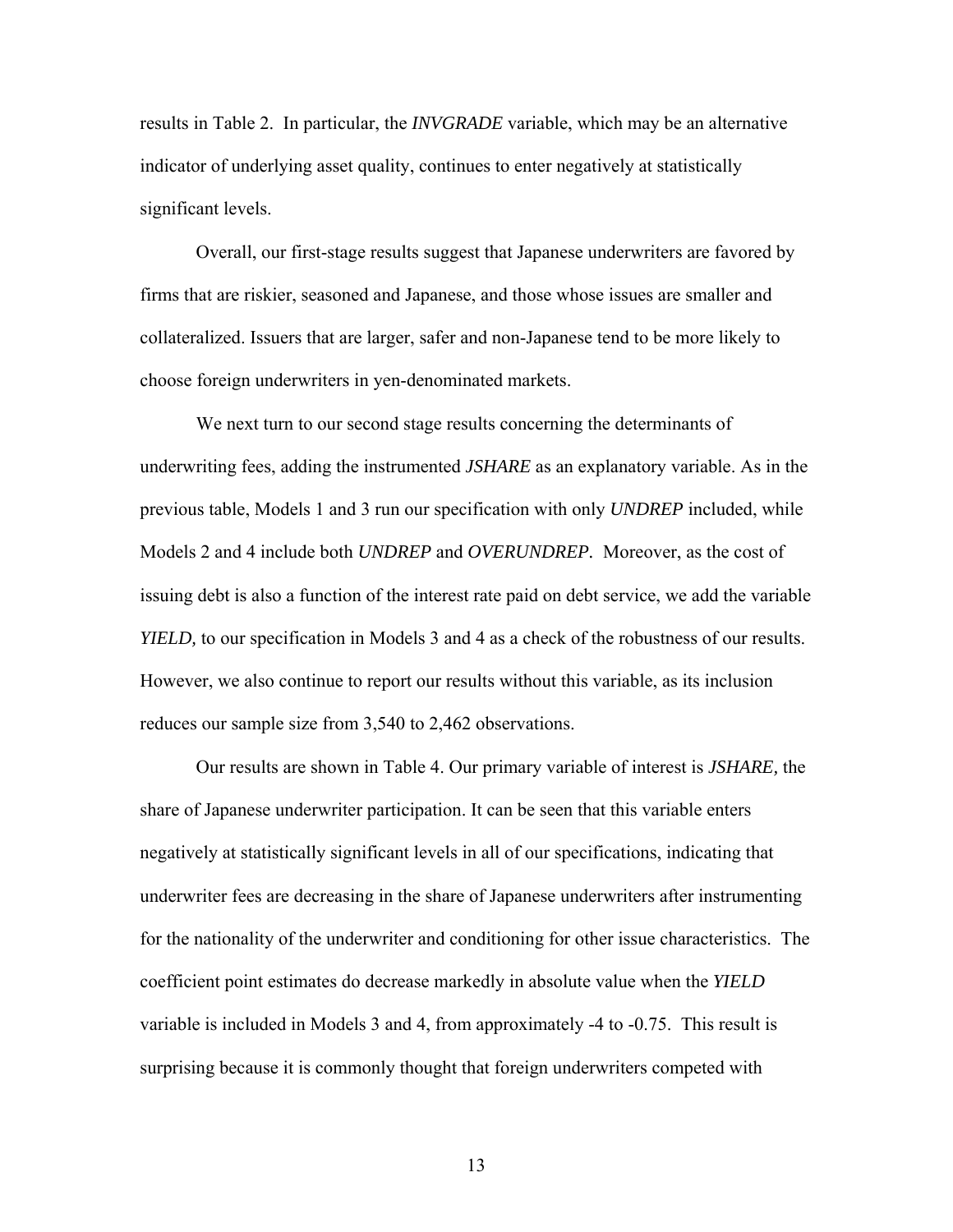results in Table 2. In particular, the *INVGRADE* variable, which may be an alternative indicator of underlying asset quality, continues to enter negatively at statistically significant levels.

 Overall, our first-stage results suggest that Japanese underwriters are favored by firms that are riskier, seasoned and Japanese, and those whose issues are smaller and collateralized. Issuers that are larger, safer and non-Japanese tend to be more likely to choose foreign underwriters in yen-denominated markets.

We next turn to our second stage results concerning the determinants of underwriting fees, adding the instrumented *JSHARE* as an explanatory variable. As in the previous table, Models 1 and 3 run our specification with only *UNDREP* included, while Models 2 and 4 include both *UNDREP* and *OVERUNDREP.* Moreover, as the cost of issuing debt is also a function of the interest rate paid on debt service, we add the variable *YIELD*, to our specification in Models 3 and 4 as a check of the robustness of our results. However, we also continue to report our results without this variable, as its inclusion reduces our sample size from 3,540 to 2,462 observations.

 Our results are shown in Table 4. Our primary variable of interest is *JSHARE,* the share of Japanese underwriter participation. It can be seen that this variable enters negatively at statistically significant levels in all of our specifications, indicating that underwriter fees are decreasing in the share of Japanese underwriters after instrumenting for the nationality of the underwriter and conditioning for other issue characteristics. The coefficient point estimates do decrease markedly in absolute value when the *YIELD* variable is included in Models 3 and 4, from approximately -4 to -0.75. This result is surprising because it is commonly thought that foreign underwriters competed with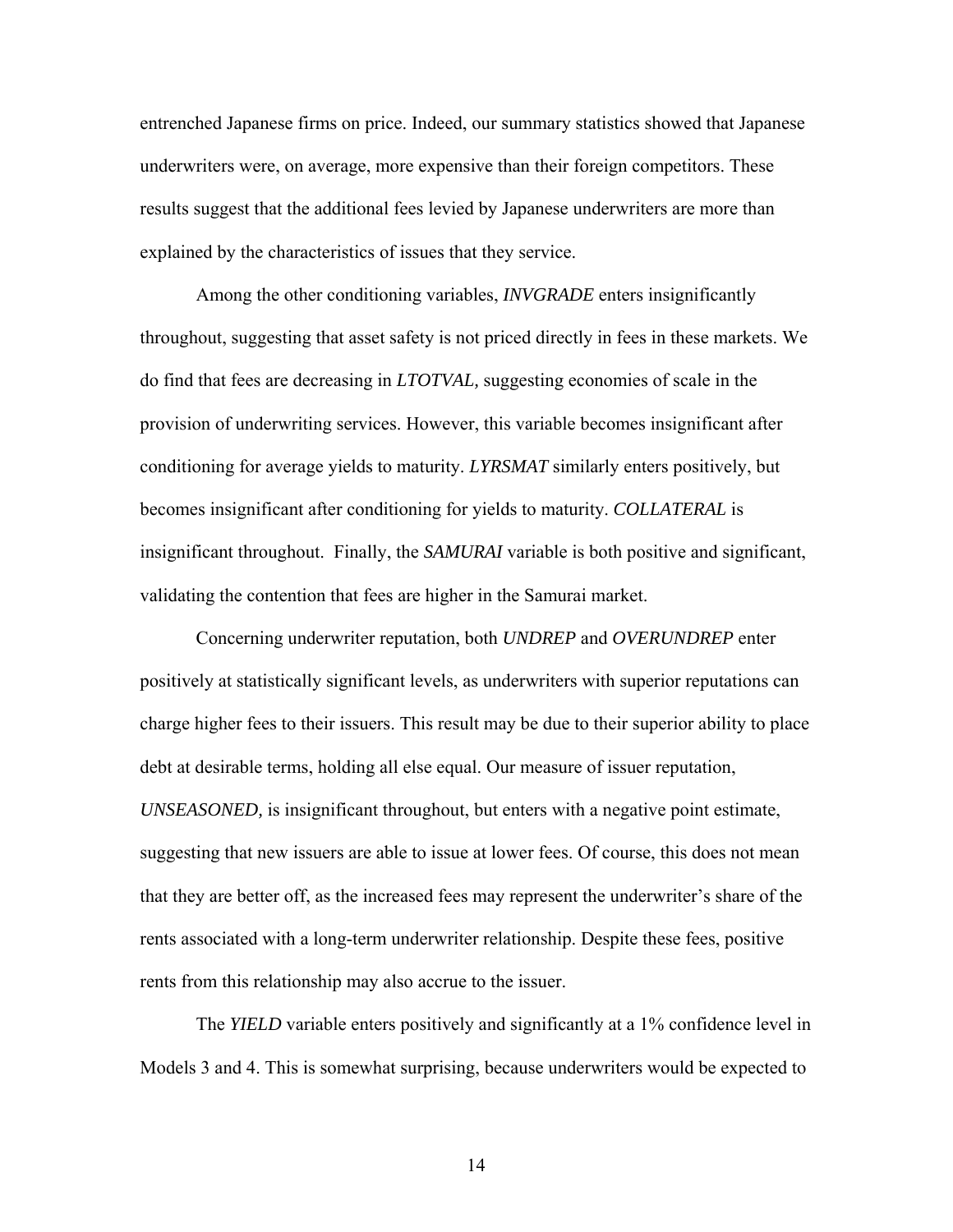entrenched Japanese firms on price. Indeed, our summary statistics showed that Japanese underwriters were, on average, more expensive than their foreign competitors. These results suggest that the additional fees levied by Japanese underwriters are more than explained by the characteristics of issues that they service.

 Among the other conditioning variables, *INVGRADE* enters insignificantly throughout, suggesting that asset safety is not priced directly in fees in these markets. We do find that fees are decreasing in *LTOTVAL,* suggesting economies of scale in the provision of underwriting services. However, this variable becomes insignificant after conditioning for average yields to maturity. *LYRSMAT* similarly enters positively, but becomes insignificant after conditioning for yields to maturity. *COLLATERAL* is insignificant throughout. Finally, the *SAMURAI* variable is both positive and significant, validating the contention that fees are higher in the Samurai market.

 Concerning underwriter reputation, both *UNDREP* and *OVERUNDREP* enter positively at statistically significant levels, as underwriters with superior reputations can charge higher fees to their issuers. This result may be due to their superior ability to place debt at desirable terms, holding all else equal. Our measure of issuer reputation, *UNSEASONED,* is insignificant throughout, but enters with a negative point estimate, suggesting that new issuers are able to issue at lower fees. Of course, this does not mean that they are better off, as the increased fees may represent the underwriter's share of the rents associated with a long-term underwriter relationship. Despite these fees, positive rents from this relationship may also accrue to the issuer.

 The *YIELD* variable enters positively and significantly at a 1% confidence level in Models 3 and 4. This is somewhat surprising, because underwriters would be expected to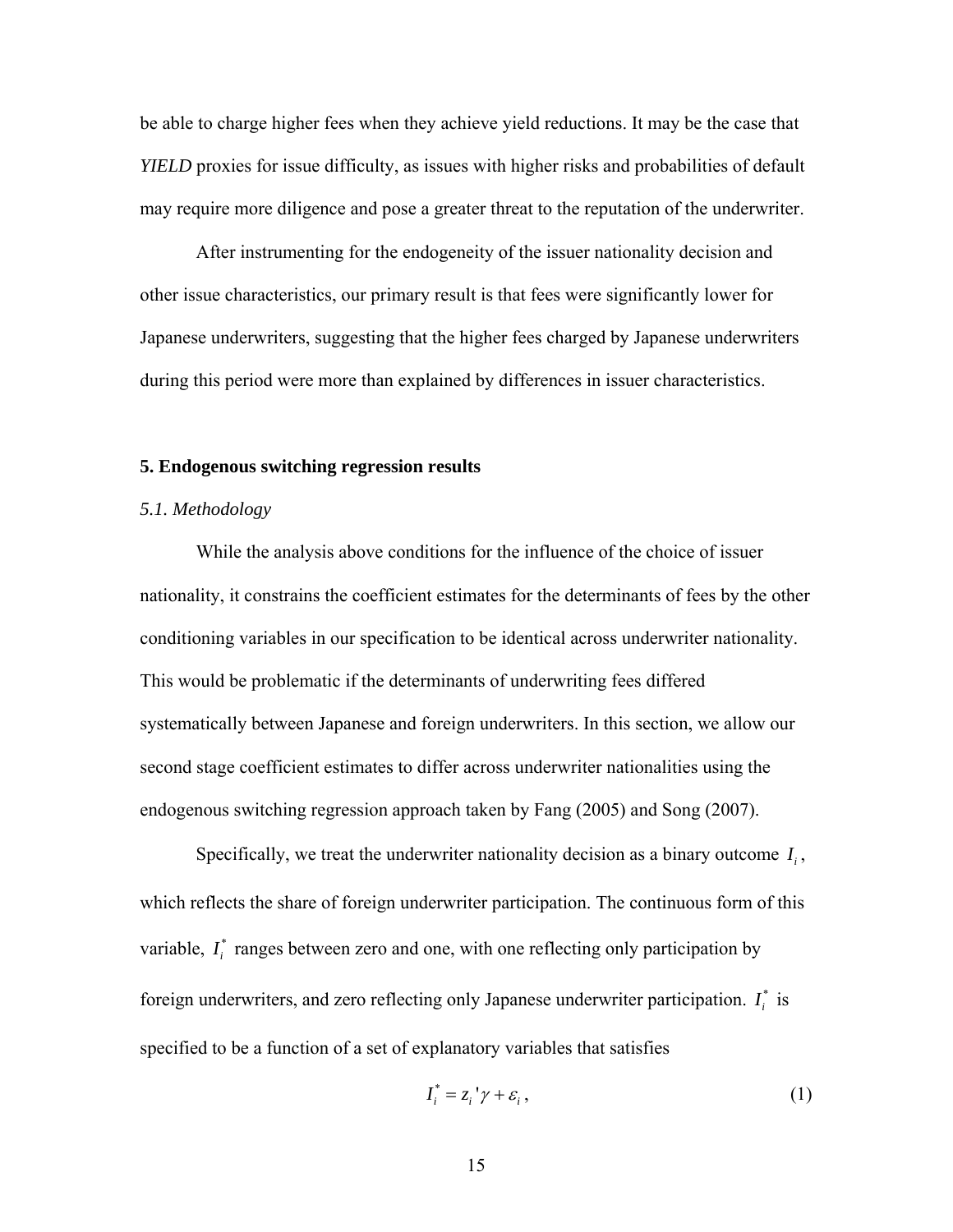be able to charge higher fees when they achieve yield reductions. It may be the case that *YIELD* proxies for issue difficulty, as issues with higher risks and probabilities of default may require more diligence and pose a greater threat to the reputation of the underwriter.

 After instrumenting for the endogeneity of the issuer nationality decision and other issue characteristics, our primary result is that fees were significantly lower for Japanese underwriters, suggesting that the higher fees charged by Japanese underwriters during this period were more than explained by differences in issuer characteristics.

#### **5. Endogenous switching regression results**

# *5.1. Methodology*

While the analysis above conditions for the influence of the choice of issuer nationality, it constrains the coefficient estimates for the determinants of fees by the other conditioning variables in our specification to be identical across underwriter nationality. This would be problematic if the determinants of underwriting fees differed systematically between Japanese and foreign underwriters. In this section, we allow our second stage coefficient estimates to differ across underwriter nationalities using the endogenous switching regression approach taken by Fang (2005) and Song (2007).

Specifically, we treat the underwriter nationality decision as a binary outcome  $I_i$ , which reflects the share of foreign underwriter participation. The continuous form of this variable,  $I_i^*$  ranges between zero and one, with one reflecting only participation by foreign underwriters, and zero reflecting only Japanese underwriter participation.  $I_i^*$  is specified to be a function of a set of explanatory variables that satisfies

$$
I_i^* = z_i' \gamma + \varepsilon_i, \qquad (1)
$$

15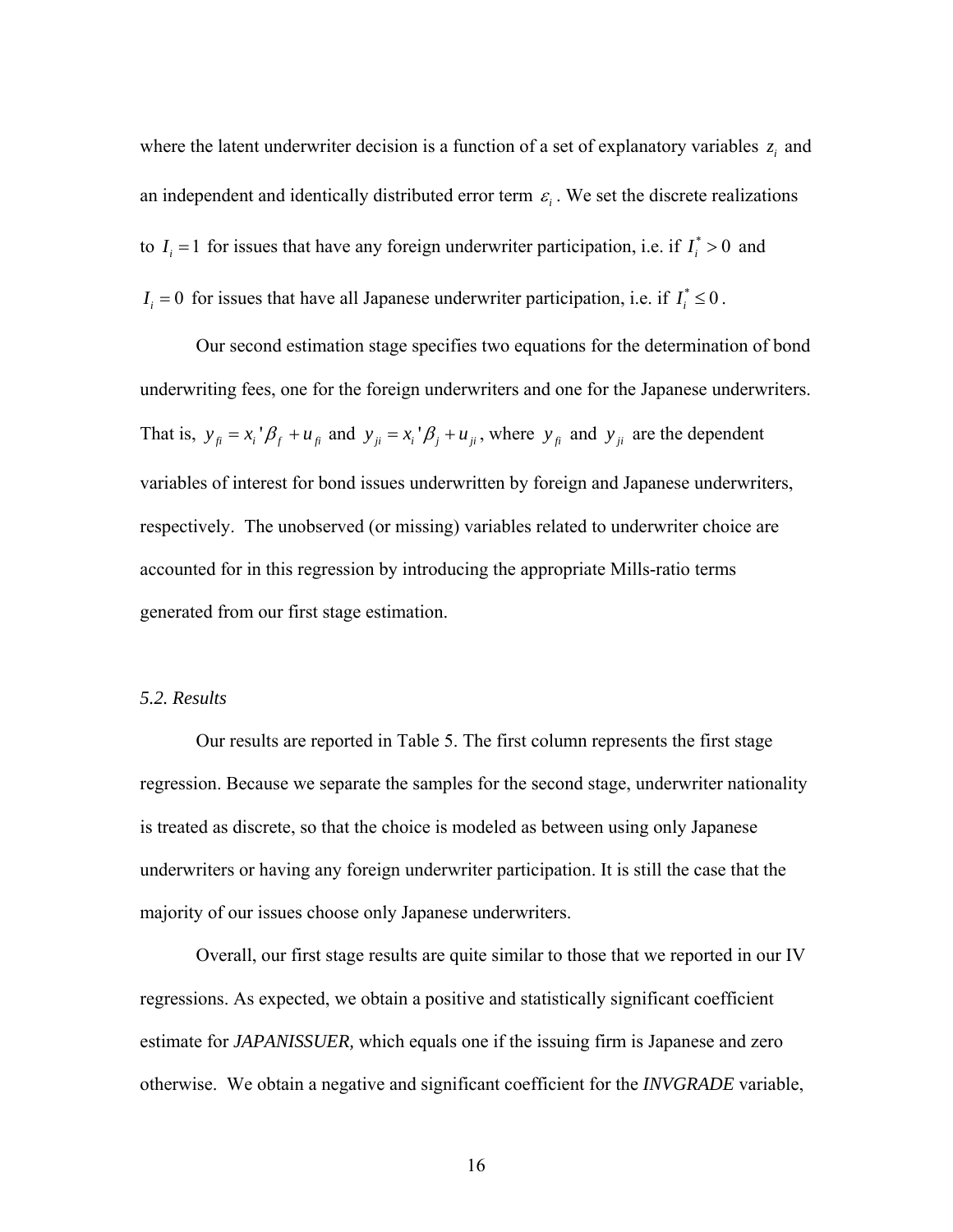where the latent underwriter decision is a function of a set of explanatory variables  $z_i$  and an independent and identically distributed error term  $\varepsilon_i$ . We set the discrete realizations to  $I_i = 1$  for issues that have any foreign underwriter participation, i.e. if  $I_i^* > 0$  and  $I_i = 0$  for issues that have all Japanese underwriter participation, i.e. if  $I_i^* \leq 0$ .

 Our second estimation stage specifies two equations for the determination of bond underwriting fees, one for the foreign underwriters and one for the Japanese underwriters. That is,  $y_{\hat{n}} = x_i' \beta_f + u_{\hat{n}}$  and  $y_{\hat{n}} = x_i' \beta_i + u_{\hat{n}}$ , where  $y_{\hat{n}}$  and  $y_{\hat{n}}$  are the dependent variables of interest for bond issues underwritten by foreign and Japanese underwriters, respectively. The unobserved (or missing) variables related to underwriter choice are accounted for in this regression by introducing the appropriate Mills-ratio terms generated from our first stage estimation.

#### *5.2. Results*

 Our results are reported in Table 5. The first column represents the first stage regression. Because we separate the samples for the second stage, underwriter nationality is treated as discrete, so that the choice is modeled as between using only Japanese underwriters or having any foreign underwriter participation. It is still the case that the majority of our issues choose only Japanese underwriters.

 Overall, our first stage results are quite similar to those that we reported in our IV regressions. As expected, we obtain a positive and statistically significant coefficient estimate for *JAPANISSUER,* which equals one if the issuing firm is Japanese and zero otherwise. We obtain a negative and significant coefficient for the *INVGRADE* variable,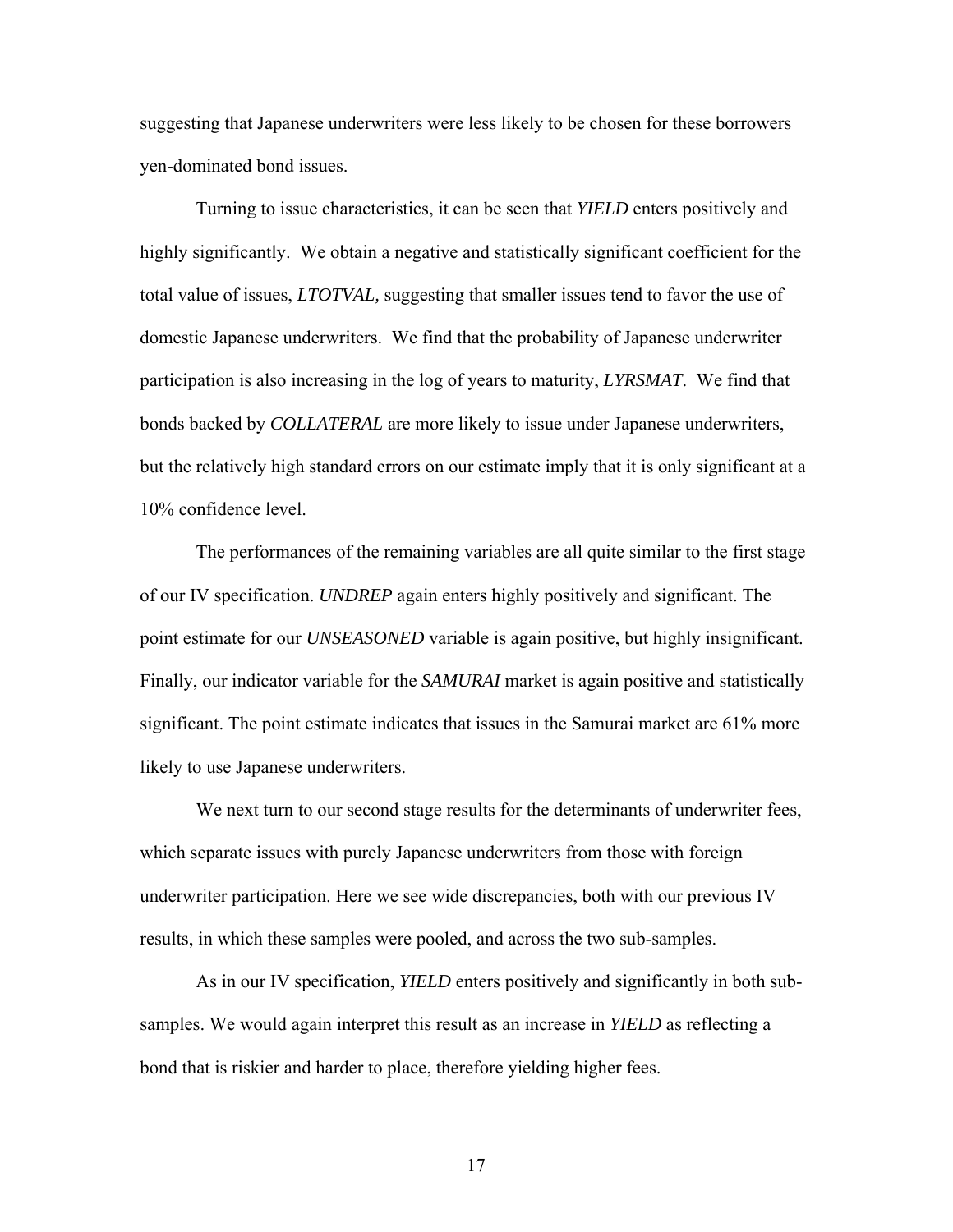suggesting that Japanese underwriters were less likely to be chosen for these borrowers yen-dominated bond issues.

 Turning to issue characteristics, it can be seen that *YIELD* enters positively and highly significantly. We obtain a negative and statistically significant coefficient for the total value of issues, *LTOTVAL,* suggesting that smaller issues tend to favor the use of domestic Japanese underwriters. We find that the probability of Japanese underwriter participation is also increasing in the log of years to maturity, *LYRSMAT*. We find that bonds backed by *COLLATERAL* are more likely to issue under Japanese underwriters, but the relatively high standard errors on our estimate imply that it is only significant at a 10% confidence level.

 The performances of the remaining variables are all quite similar to the first stage of our IV specification. *UNDREP* again enters highly positively and significant. The point estimate for our *UNSEASONED* variable is again positive, but highly insignificant. Finally, our indicator variable for the *SAMURAI* market is again positive and statistically significant. The point estimate indicates that issues in the Samurai market are 61% more likely to use Japanese underwriters.

 We next turn to our second stage results for the determinants of underwriter fees, which separate issues with purely Japanese underwriters from those with foreign underwriter participation. Here we see wide discrepancies, both with our previous IV results, in which these samples were pooled, and across the two sub-samples.

 As in our IV specification, *YIELD* enters positively and significantly in both subsamples. We would again interpret this result as an increase in *YIELD* as reflecting a bond that is riskier and harder to place, therefore yielding higher fees.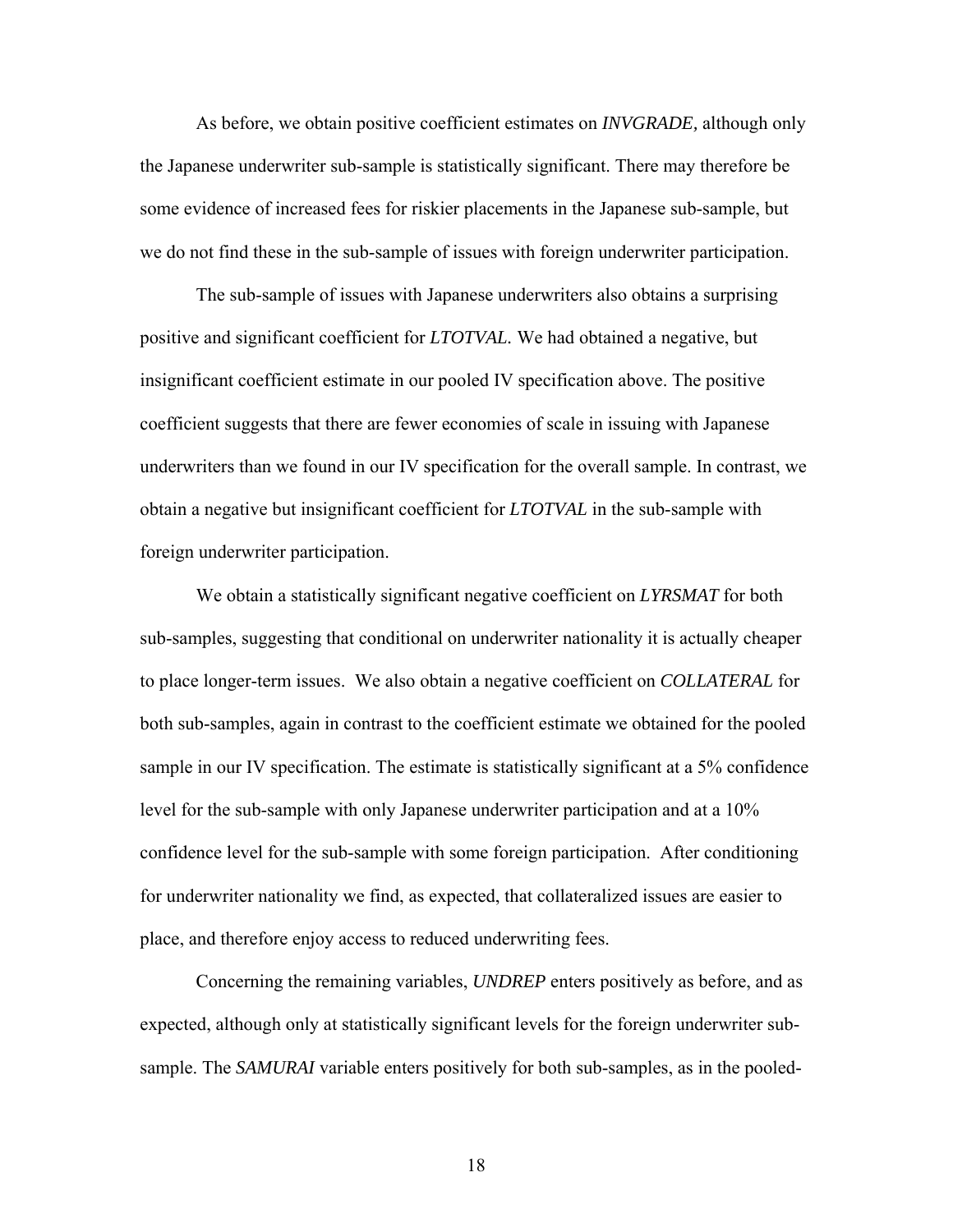As before, we obtain positive coefficient estimates on *INVGRADE,* although only the Japanese underwriter sub-sample is statistically significant. There may therefore be some evidence of increased fees for riskier placements in the Japanese sub-sample, but we do not find these in the sub-sample of issues with foreign underwriter participation.

The sub-sample of issues with Japanese underwriters also obtains a surprising positive and significant coefficient for *LTOTVAL.* We had obtained a negative, but insignificant coefficient estimate in our pooled IV specification above. The positive coefficient suggests that there are fewer economies of scale in issuing with Japanese underwriters than we found in our IV specification for the overall sample. In contrast, we obtain a negative but insignificant coefficient for *LTOTVAL* in the sub-sample with foreign underwriter participation.

We obtain a statistically significant negative coefficient on *LYRSMAT* for both sub-samples, suggesting that conditional on underwriter nationality it is actually cheaper to place longer-term issues. We also obtain a negative coefficient on *COLLATERAL* for both sub-samples, again in contrast to the coefficient estimate we obtained for the pooled sample in our IV specification. The estimate is statistically significant at a 5% confidence level for the sub-sample with only Japanese underwriter participation and at a 10% confidence level for the sub-sample with some foreign participation. After conditioning for underwriter nationality we find, as expected, that collateralized issues are easier to place, and therefore enjoy access to reduced underwriting fees.

Concerning the remaining variables, *UNDREP* enters positively as before, and as expected, although only at statistically significant levels for the foreign underwriter subsample. The *SAMURAI* variable enters positively for both sub-samples, as in the pooled-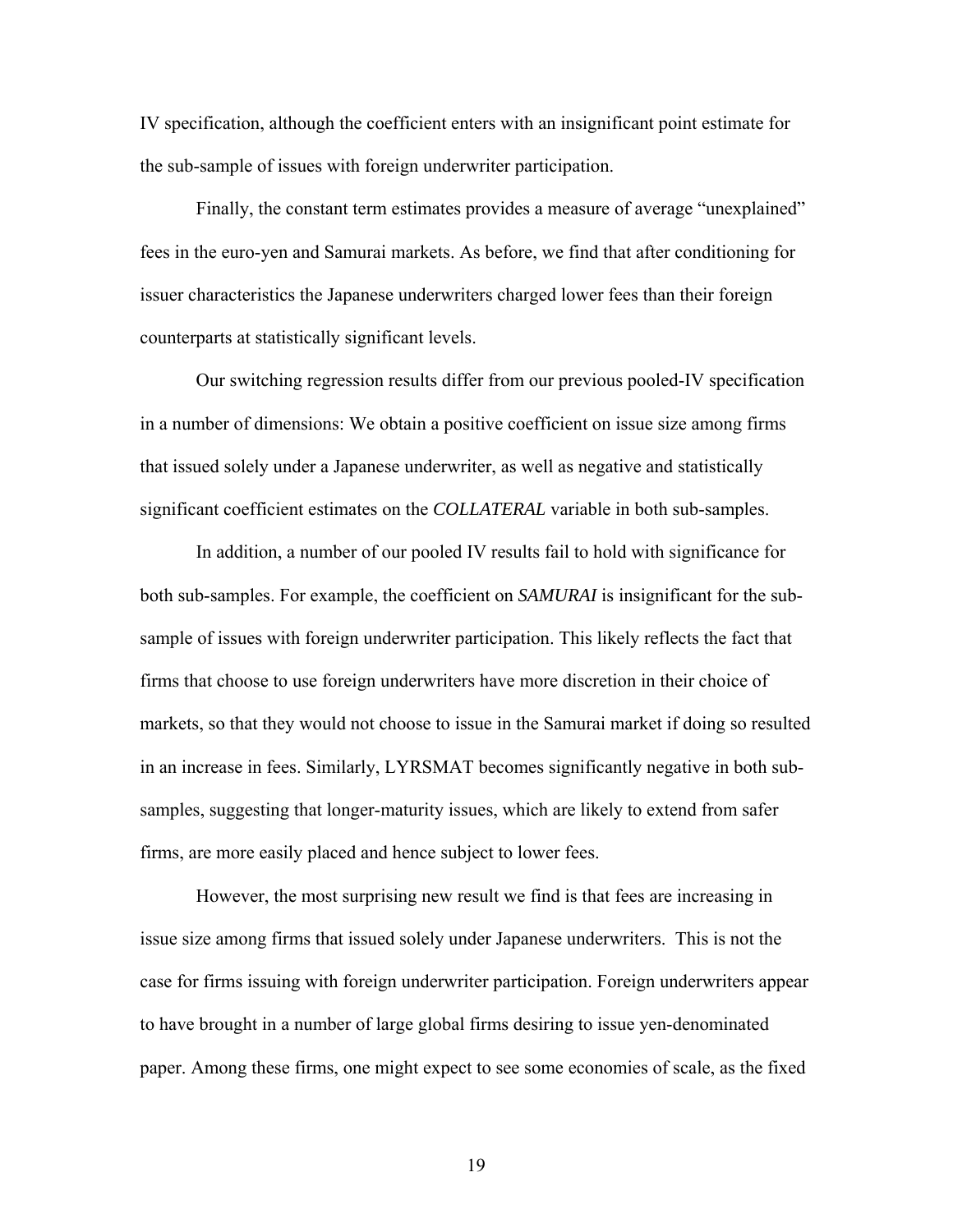IV specification, although the coefficient enters with an insignificant point estimate for the sub-sample of issues with foreign underwriter participation.

Finally, the constant term estimates provides a measure of average "unexplained" fees in the euro-yen and Samurai markets. As before, we find that after conditioning for issuer characteristics the Japanese underwriters charged lower fees than their foreign counterparts at statistically significant levels.

Our switching regression results differ from our previous pooled-IV specification in a number of dimensions: We obtain a positive coefficient on issue size among firms that issued solely under a Japanese underwriter, as well as negative and statistically significant coefficient estimates on the *COLLATERAL* variable in both sub-samples.

In addition, a number of our pooled IV results fail to hold with significance for both sub-samples. For example, the coefficient on *SAMURAI* is insignificant for the subsample of issues with foreign underwriter participation. This likely reflects the fact that firms that choose to use foreign underwriters have more discretion in their choice of markets, so that they would not choose to issue in the Samurai market if doing so resulted in an increase in fees. Similarly, LYRSMAT becomes significantly negative in both subsamples, suggesting that longer-maturity issues, which are likely to extend from safer firms, are more easily placed and hence subject to lower fees.

However, the most surprising new result we find is that fees are increasing in issue size among firms that issued solely under Japanese underwriters. This is not the case for firms issuing with foreign underwriter participation. Foreign underwriters appear to have brought in a number of large global firms desiring to issue yen-denominated paper. Among these firms, one might expect to see some economies of scale, as the fixed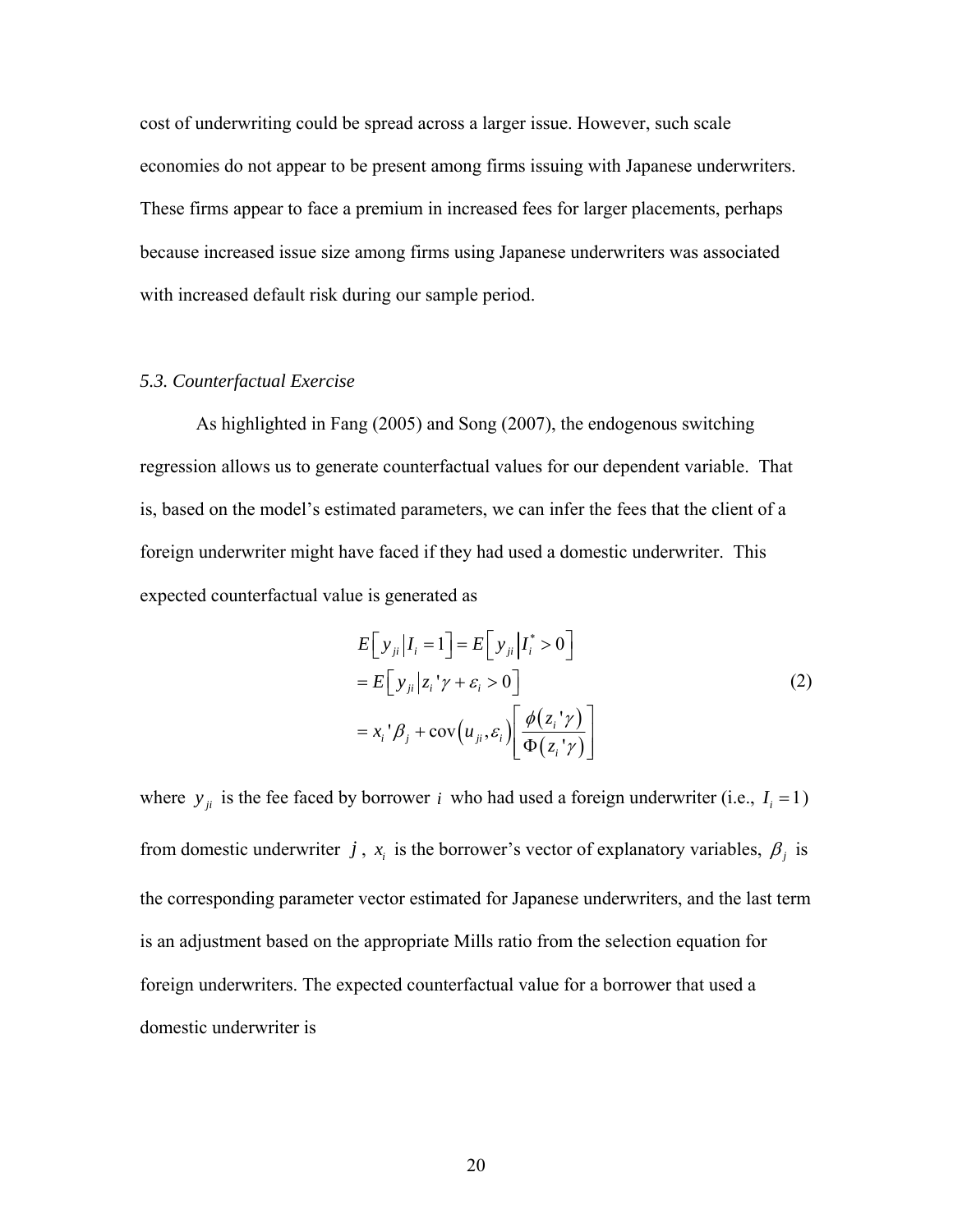cost of underwriting could be spread across a larger issue. However, such scale economies do not appear to be present among firms issuing with Japanese underwriters. These firms appear to face a premium in increased fees for larger placements, perhaps because increased issue size among firms using Japanese underwriters was associated with increased default risk during our sample period.

# *5.3. Counterfactual Exercise*

 As highlighted in Fang (2005) and Song (2007), the endogenous switching regression allows us to generate counterfactual values for our dependent variable. That is, based on the model's estimated parameters, we can infer the fees that the client of a foreign underwriter might have faced if they had used a domestic underwriter. This expected counterfactual value is generated as

$$
E[y_{ji}|I_i = 1] = E[y_{ji}|I_i^* > 0]
$$
  
= 
$$
E[y_{ji}|z_i^{\prime}\gamma + \varepsilon_i > 0]
$$
  
= 
$$
x_i^{\prime}\beta_j + \text{cov}(u_{ji}, \varepsilon_i) \left[\frac{\phi(z_i^{\prime}\gamma)}{\Phi(z_i^{\prime}\gamma)}\right]
$$
 (2)

where  $y_{ji}$  is the fee faced by borrower *i* who had used a foreign underwriter (i.e.,  $I_i = 1$ ) from domestic underwriter *j*,  $x_i$  is the borrower's vector of explanatory variables,  $\beta_j$  is the corresponding parameter vector estimated for Japanese underwriters, and the last term is an adjustment based on the appropriate Mills ratio from the selection equation for foreign underwriters. The expected counterfactual value for a borrower that used a domestic underwriter is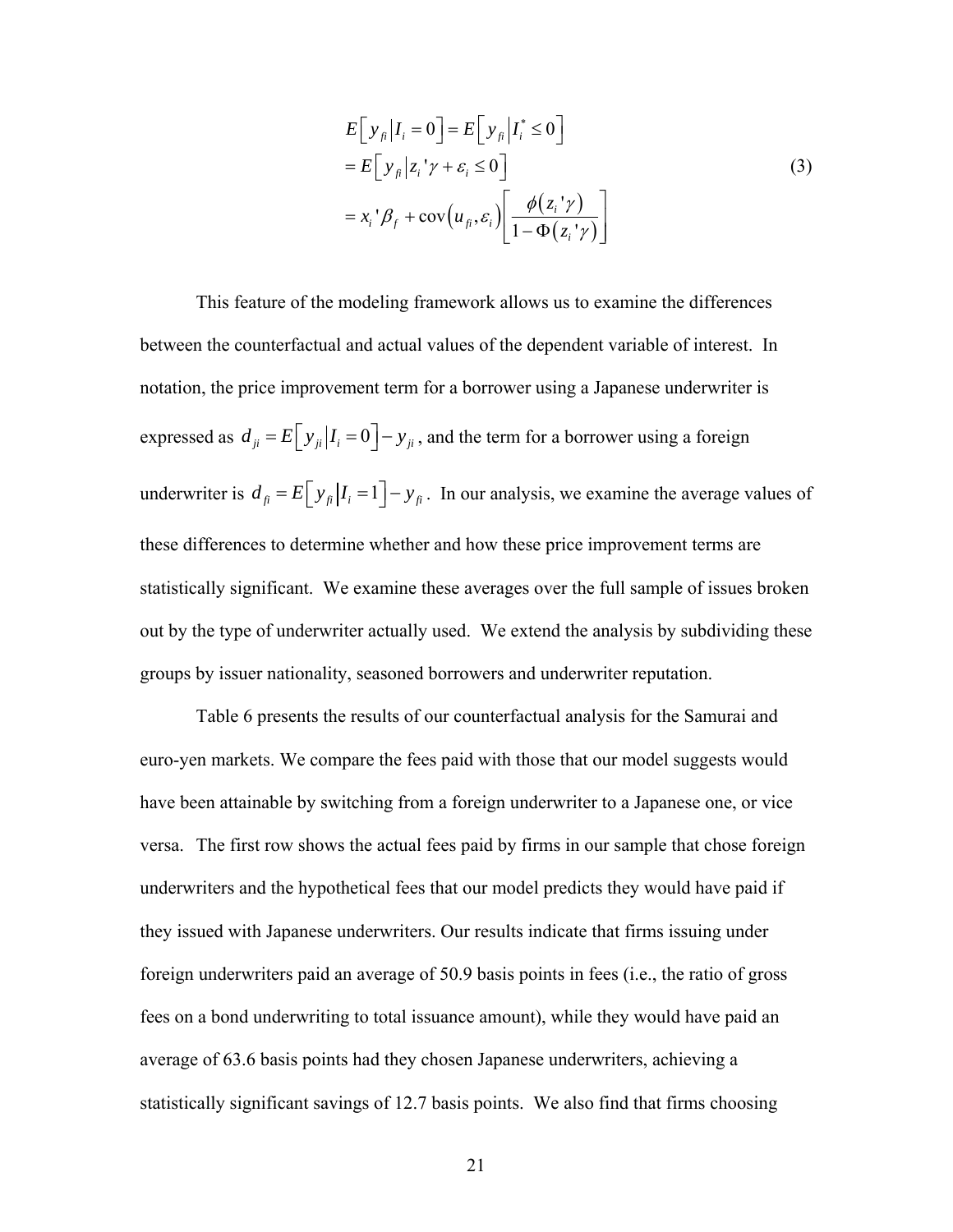$$
E[y_{fi}|I_i = 0] = E[y_{fi}|I_i^* \le 0]
$$
  
= 
$$
E[y_{fi}|z_i^{\prime}\gamma + \varepsilon_i \le 0]
$$
  
= 
$$
x_i^{\prime}\beta_f + \text{cov}(u_{fi}, \varepsilon_i) \left[\frac{\phi(z_i^{\prime}\gamma)}{1 - \Phi(z_i^{\prime}\gamma)}\right]
$$
 (3)

 This feature of the modeling framework allows us to examine the differences between the counterfactual and actual values of the dependent variable of interest. In notation, the price improvement term for a borrower using a Japanese underwriter is expressed as  $d_{ji} = E[y_{ji} | I_i = 0] - y_{ji}$ , and the term for a borrower using a foreign underwriter is  $d_{\hat{H}} = E[y_{\hat{H}}|I_i = 1] - y_{\hat{H}}$ . In our analysis, we examine the average values of these differences to determine whether and how these price improvement terms are statistically significant. We examine these averages over the full sample of issues broken out by the type of underwriter actually used. We extend the analysis by subdividing these groups by issuer nationality, seasoned borrowers and underwriter reputation.

 Table 6 presents the results of our counterfactual analysis for the Samurai and euro-yen markets. We compare the fees paid with those that our model suggests would have been attainable by switching from a foreign underwriter to a Japanese one, or vice versa. The first row shows the actual fees paid by firms in our sample that chose foreign underwriters and the hypothetical fees that our model predicts they would have paid if they issued with Japanese underwriters. Our results indicate that firms issuing under foreign underwriters paid an average of 50.9 basis points in fees (i.e., the ratio of gross fees on a bond underwriting to total issuance amount), while they would have paid an average of 63.6 basis points had they chosen Japanese underwriters, achieving a statistically significant savings of 12.7 basis points. We also find that firms choosing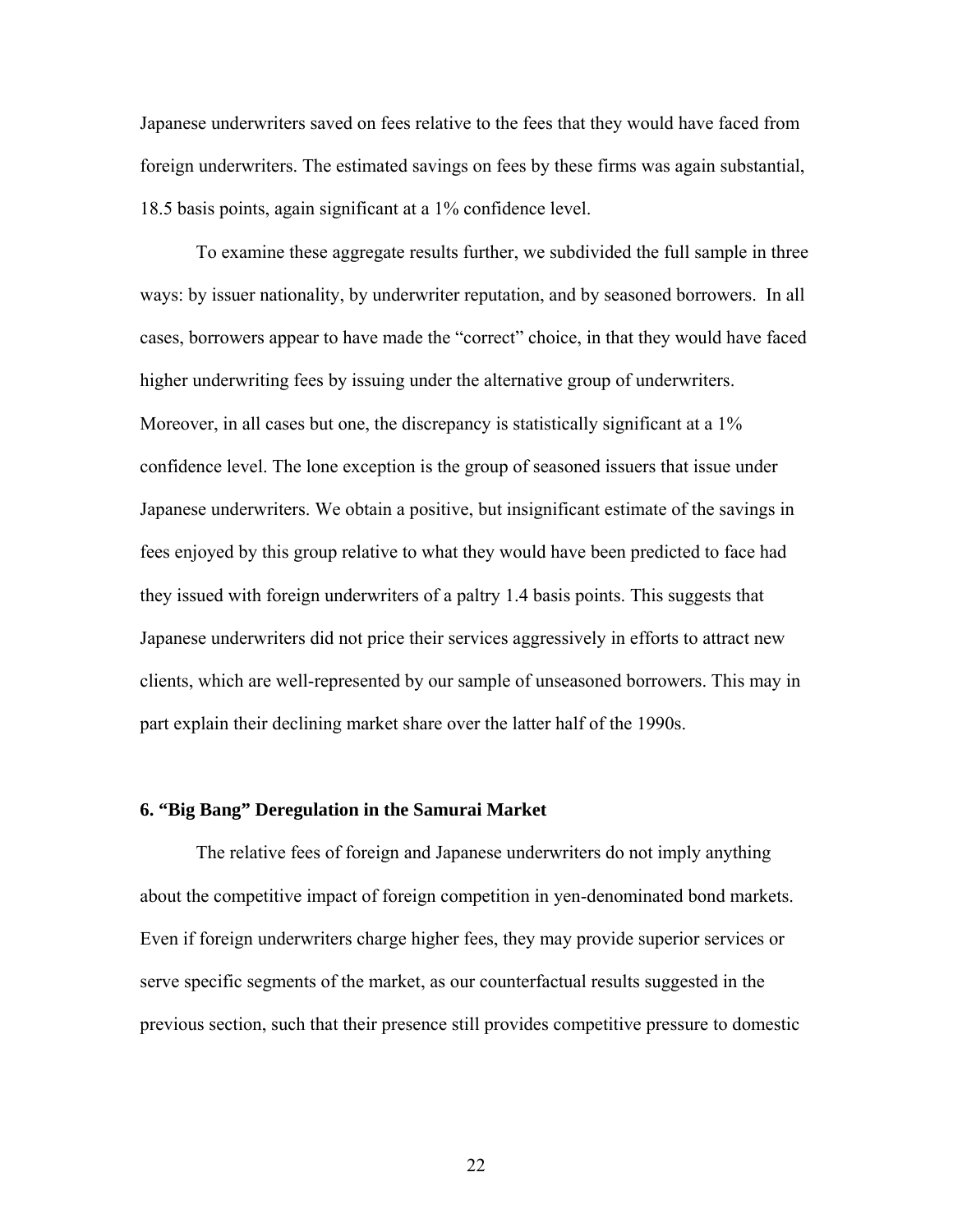Japanese underwriters saved on fees relative to the fees that they would have faced from foreign underwriters. The estimated savings on fees by these firms was again substantial, 18.5 basis points, again significant at a 1% confidence level.

 To examine these aggregate results further, we subdivided the full sample in three ways: by issuer nationality, by underwriter reputation, and by seasoned borrowers. In all cases, borrowers appear to have made the "correct" choice, in that they would have faced higher underwriting fees by issuing under the alternative group of underwriters. Moreover, in all cases but one, the discrepancy is statistically significant at a 1% confidence level. The lone exception is the group of seasoned issuers that issue under Japanese underwriters. We obtain a positive, but insignificant estimate of the savings in fees enjoyed by this group relative to what they would have been predicted to face had they issued with foreign underwriters of a paltry 1.4 basis points. This suggests that Japanese underwriters did not price their services aggressively in efforts to attract new clients, which are well-represented by our sample of unseasoned borrowers. This may in part explain their declining market share over the latter half of the 1990s.

# **6. "Big Bang" Deregulation in the Samurai Market**

 The relative fees of foreign and Japanese underwriters do not imply anything about the competitive impact of foreign competition in yen-denominated bond markets. Even if foreign underwriters charge higher fees, they may provide superior services or serve specific segments of the market, as our counterfactual results suggested in the previous section, such that their presence still provides competitive pressure to domestic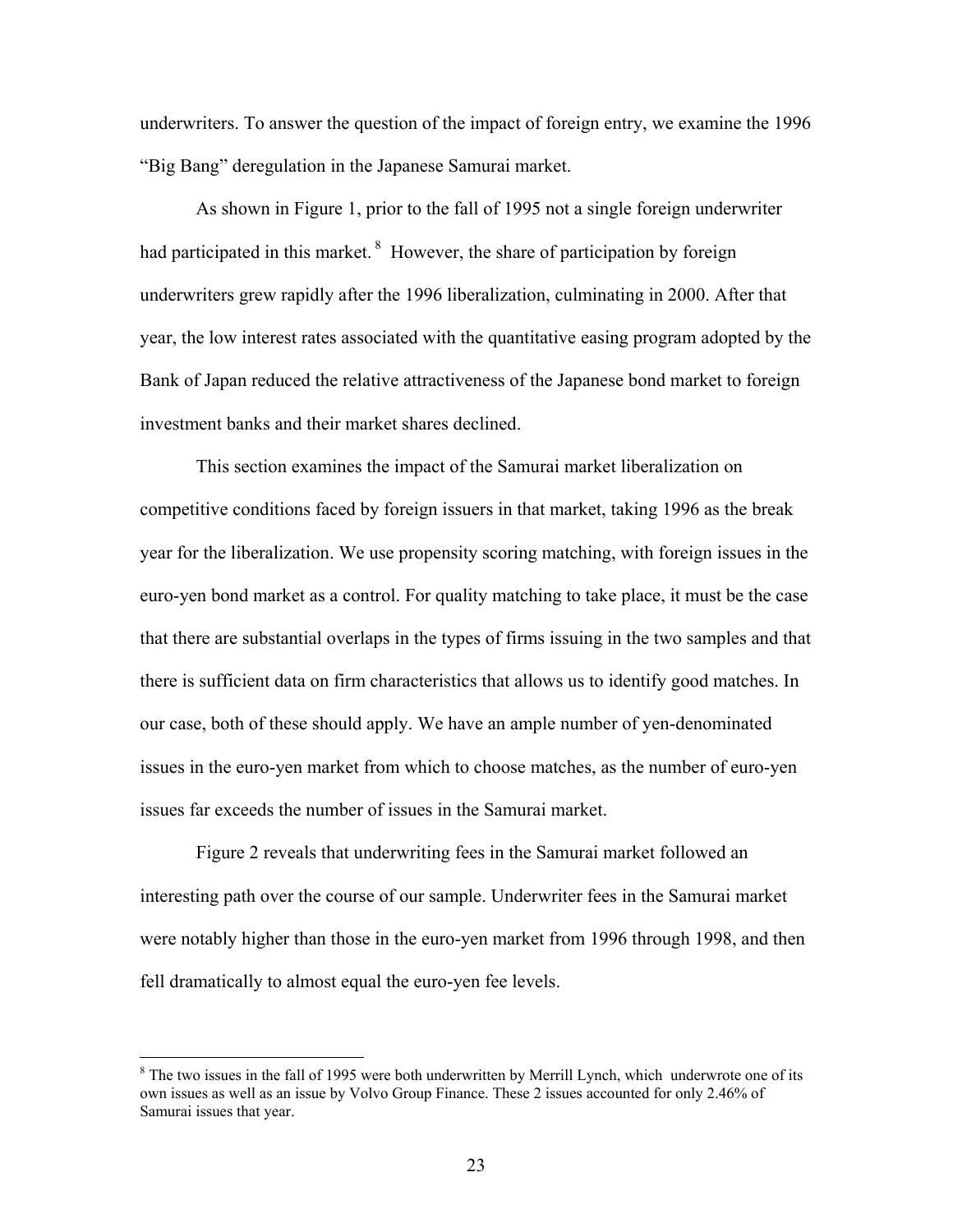underwriters. To answer the question of the impact of foreign entry, we examine the 1996 "Big Bang" deregulation in the Japanese Samurai market.

 As shown in Figure 1, prior to the fall of 1995 not a single foreign underwriter had participated in this market.<sup>8</sup> However, the share of participation by foreign underwriters grew rapidly after the 1996 liberalization, culminating in 2000. After that year, the low interest rates associated with the quantitative easing program adopted by the Bank of Japan reduced the relative attractiveness of the Japanese bond market to foreign investment banks and their market shares declined.

 This section examines the impact of the Samurai market liberalization on competitive conditions faced by foreign issuers in that market, taking 1996 as the break year for the liberalization. We use propensity scoring matching, with foreign issues in the euro-yen bond market as a control. For quality matching to take place, it must be the case that there are substantial overlaps in the types of firms issuing in the two samples and that there is sufficient data on firm characteristics that allows us to identify good matches. In our case, both of these should apply. We have an ample number of yen-denominated issues in the euro-yen market from which to choose matches, as the number of euro-yen issues far exceeds the number of issues in the Samurai market.

 Figure 2 reveals that underwriting fees in the Samurai market followed an interesting path over the course of our sample. Underwriter fees in the Samurai market were notably higher than those in the euro-yen market from 1996 through 1998, and then fell dramatically to almost equal the euro-yen fee levels.

 $8$  The two issues in the fall of 1995 were both underwritten by Merrill Lynch, which underwrote one of its own issues as well as an issue by Volvo Group Finance. These 2 issues accounted for only 2.46% of Samurai issues that year.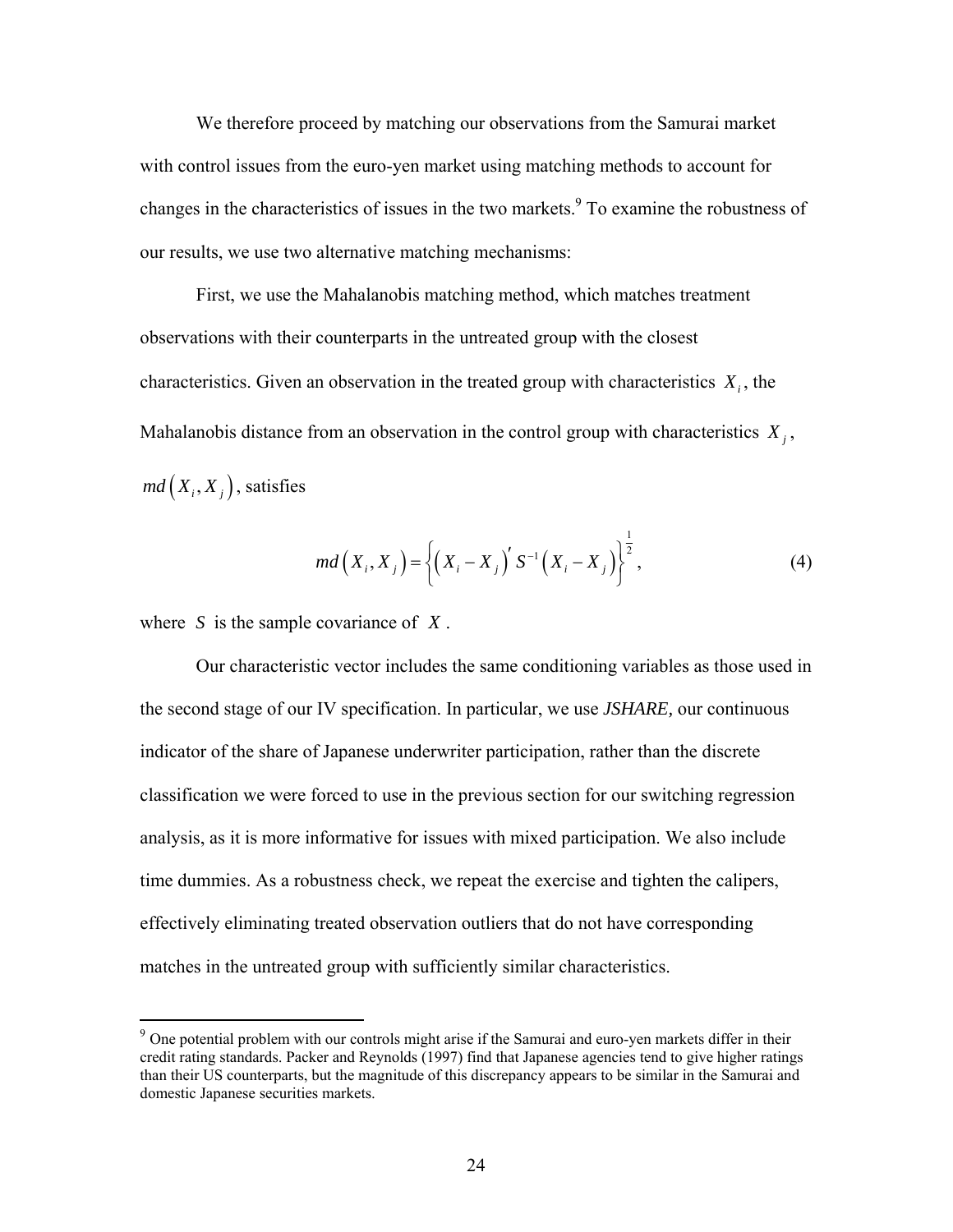We therefore proceed by matching our observations from the Samurai market with control issues from the euro-yen market using matching methods to account for changes in the characteristics of issues in the two markets.<sup>9</sup> To examine the robustness of our results, we use two alternative matching mechanisms:

First, we use the Mahalanobis matching method, which matches treatment observations with their counterparts in the untreated group with the closest characteristics. Given an observation in the treated group with characteristics  $X_i$ , the Mahalanobis distance from an observation in the control group with characteristics  $X_j$ ,  $md(X_i, X_j)$ , satisfies

$$
md(X_i, X_j) = \left\{ (X_i - X_j)' S^{-1} (X_i - X_j) \right\}^{\frac{1}{2}},
$$
 (4)

where  $S$  is the sample covariance of  $X$ .

1

 Our characteristic vector includes the same conditioning variables as those used in the second stage of our IV specification. In particular, we use *JSHARE,* our continuous indicator of the share of Japanese underwriter participation, rather than the discrete classification we were forced to use in the previous section for our switching regression analysis, as it is more informative for issues with mixed participation. We also include time dummies. As a robustness check, we repeat the exercise and tighten the calipers, effectively eliminating treated observation outliers that do not have corresponding matches in the untreated group with sufficiently similar characteristics.

<sup>&</sup>lt;sup>9</sup> One potential problem with our controls might arise if the Samurai and euro-yen markets differ in their credit rating standards. Packer and Reynolds (1997) find that Japanese agencies tend to give higher ratings than their US counterparts, but the magnitude of this discrepancy appears to be similar in the Samurai and domestic Japanese securities markets.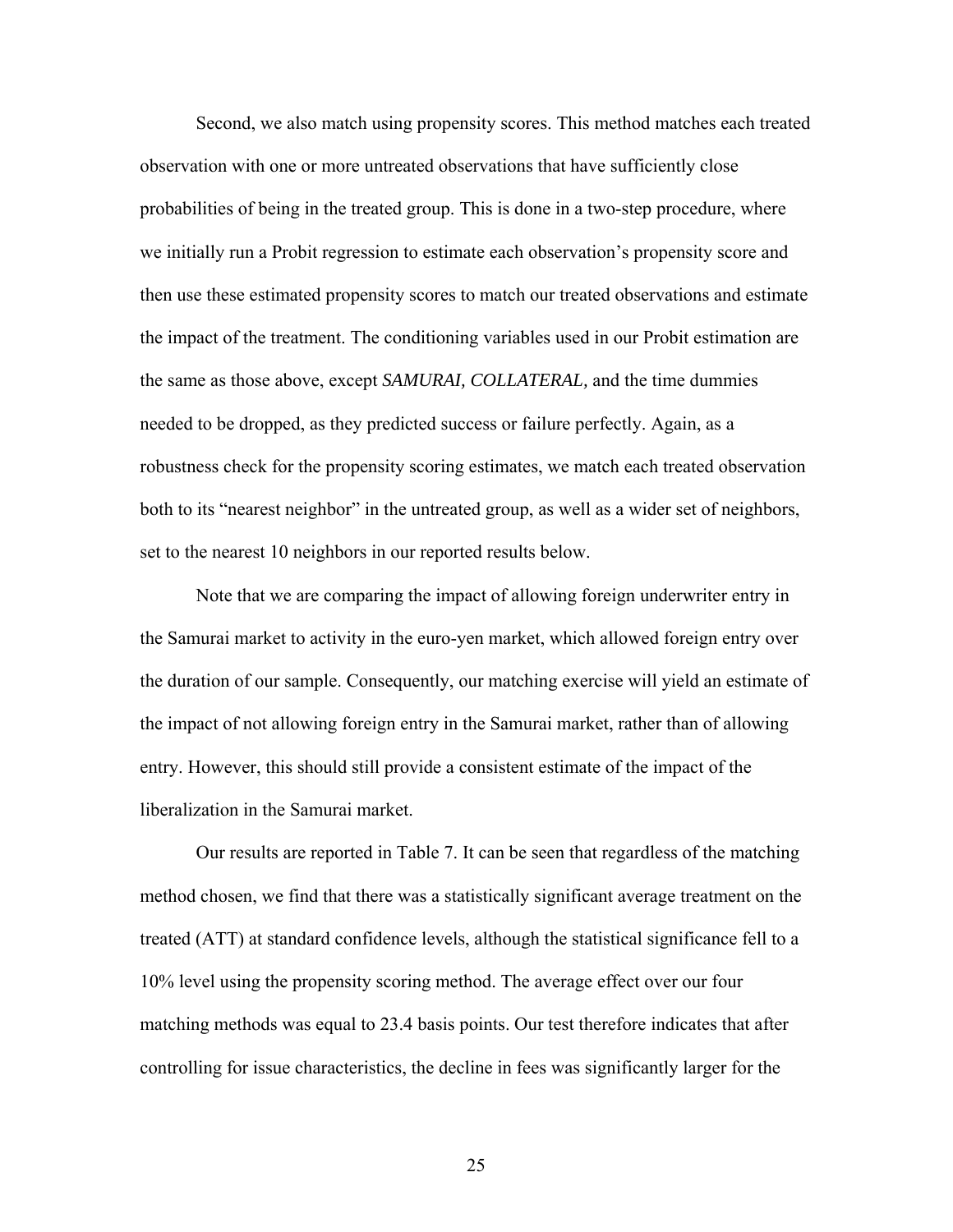Second, we also match using propensity scores. This method matches each treated observation with one or more untreated observations that have sufficiently close probabilities of being in the treated group. This is done in a two-step procedure, where we initially run a Probit regression to estimate each observation's propensity score and then use these estimated propensity scores to match our treated observations and estimate the impact of the treatment. The conditioning variables used in our Probit estimation are the same as those above, except *SAMURAI, COLLATERAL,* and the time dummies needed to be dropped, as they predicted success or failure perfectly. Again, as a robustness check for the propensity scoring estimates, we match each treated observation both to its "nearest neighbor" in the untreated group, as well as a wider set of neighbors, set to the nearest 10 neighbors in our reported results below.

 Note that we are comparing the impact of allowing foreign underwriter entry in the Samurai market to activity in the euro-yen market, which allowed foreign entry over the duration of our sample. Consequently, our matching exercise will yield an estimate of the impact of not allowing foreign entry in the Samurai market, rather than of allowing entry. However, this should still provide a consistent estimate of the impact of the liberalization in the Samurai market.

 Our results are reported in Table 7. It can be seen that regardless of the matching method chosen, we find that there was a statistically significant average treatment on the treated (ATT) at standard confidence levels, although the statistical significance fell to a 10% level using the propensity scoring method. The average effect over our four matching methods was equal to 23.4 basis points. Our test therefore indicates that after controlling for issue characteristics, the decline in fees was significantly larger for the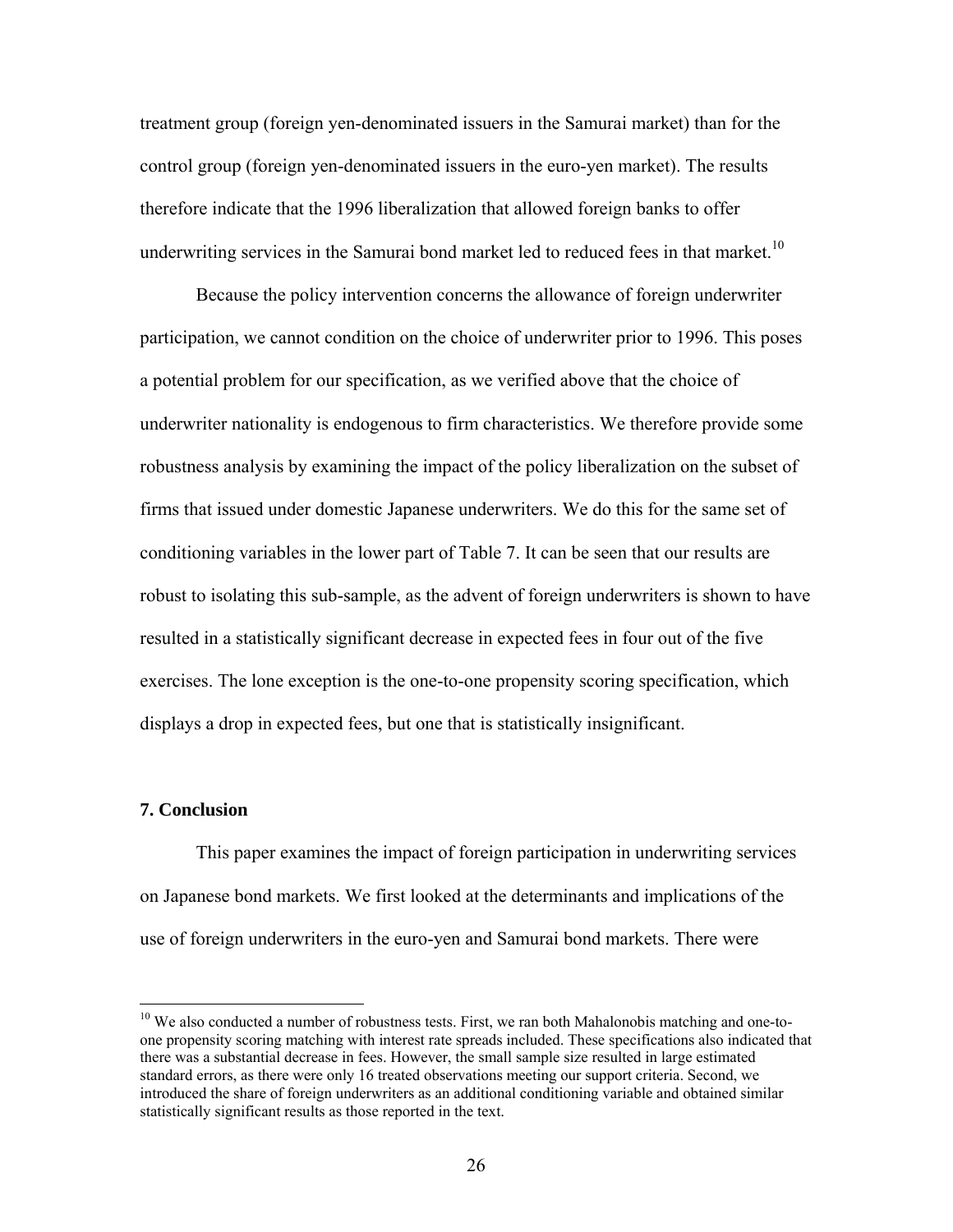treatment group (foreign yen-denominated issuers in the Samurai market) than for the control group (foreign yen-denominated issuers in the euro-yen market). The results therefore indicate that the 1996 liberalization that allowed foreign banks to offer underwriting services in the Samurai bond market led to reduced fees in that market.<sup>10</sup>

 Because the policy intervention concerns the allowance of foreign underwriter participation, we cannot condition on the choice of underwriter prior to 1996. This poses a potential problem for our specification, as we verified above that the choice of underwriter nationality is endogenous to firm characteristics. We therefore provide some robustness analysis by examining the impact of the policy liberalization on the subset of firms that issued under domestic Japanese underwriters. We do this for the same set of conditioning variables in the lower part of Table 7. It can be seen that our results are robust to isolating this sub-sample, as the advent of foreign underwriters is shown to have resulted in a statistically significant decrease in expected fees in four out of the five exercises. The lone exception is the one-to-one propensity scoring specification, which displays a drop in expected fees, but one that is statistically insignificant.

#### **7. Conclusion**

1

This paper examines the impact of foreign participation in underwriting services on Japanese bond markets. We first looked at the determinants and implications of the use of foreign underwriters in the euro-yen and Samurai bond markets. There were

<sup>&</sup>lt;sup>10</sup> We also conducted a number of robustness tests. First, we ran both Mahalonobis matching and one-toone propensity scoring matching with interest rate spreads included. These specifications also indicated that there was a substantial decrease in fees. However, the small sample size resulted in large estimated standard errors, as there were only 16 treated observations meeting our support criteria. Second, we introduced the share of foreign underwriters as an additional conditioning variable and obtained similar statistically significant results as those reported in the text.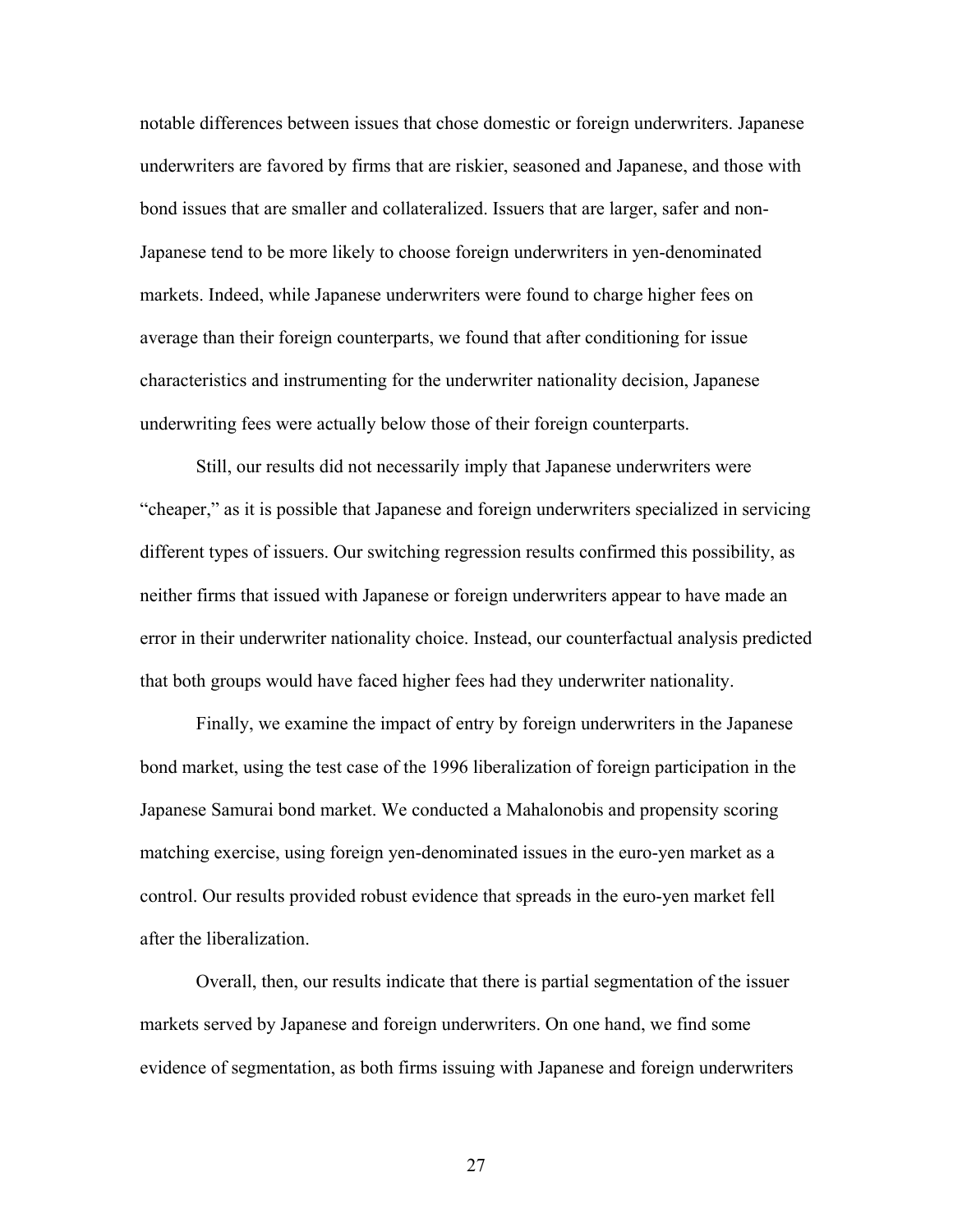notable differences between issues that chose domestic or foreign underwriters. Japanese underwriters are favored by firms that are riskier, seasoned and Japanese, and those with bond issues that are smaller and collateralized. Issuers that are larger, safer and non-Japanese tend to be more likely to choose foreign underwriters in yen-denominated markets. Indeed, while Japanese underwriters were found to charge higher fees on average than their foreign counterparts, we found that after conditioning for issue characteristics and instrumenting for the underwriter nationality decision, Japanese underwriting fees were actually below those of their foreign counterparts.

Still, our results did not necessarily imply that Japanese underwriters were "cheaper," as it is possible that Japanese and foreign underwriters specialized in servicing different types of issuers. Our switching regression results confirmed this possibility, as neither firms that issued with Japanese or foreign underwriters appear to have made an error in their underwriter nationality choice. Instead, our counterfactual analysis predicted that both groups would have faced higher fees had they underwriter nationality.

 Finally, we examine the impact of entry by foreign underwriters in the Japanese bond market, using the test case of the 1996 liberalization of foreign participation in the Japanese Samurai bond market. We conducted a Mahalonobis and propensity scoring matching exercise, using foreign yen-denominated issues in the euro-yen market as a control. Our results provided robust evidence that spreads in the euro-yen market fell after the liberalization.

 Overall, then, our results indicate that there is partial segmentation of the issuer markets served by Japanese and foreign underwriters. On one hand, we find some evidence of segmentation, as both firms issuing with Japanese and foreign underwriters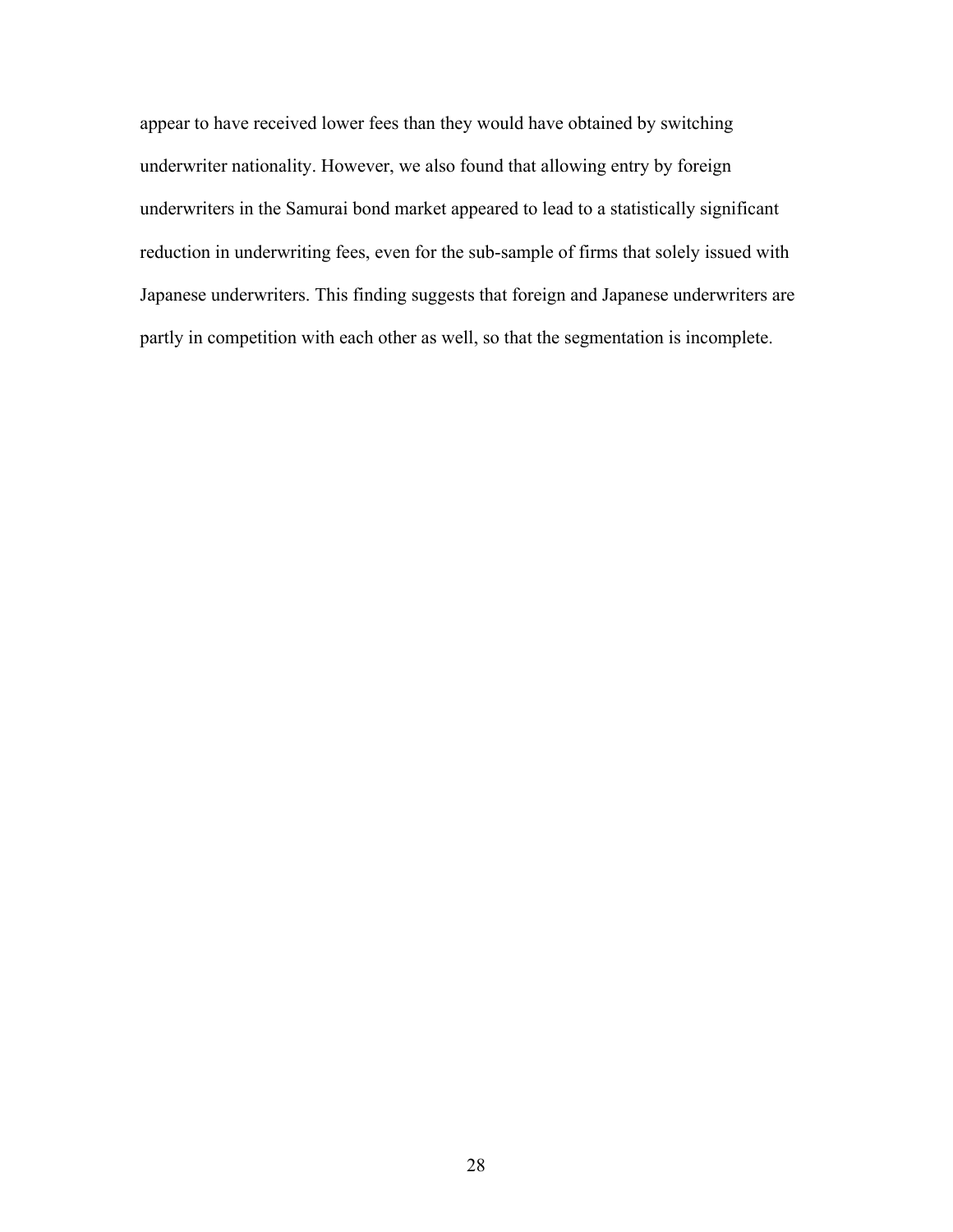appear to have received lower fees than they would have obtained by switching underwriter nationality. However, we also found that allowing entry by foreign underwriters in the Samurai bond market appeared to lead to a statistically significant reduction in underwriting fees, even for the sub-sample of firms that solely issued with Japanese underwriters. This finding suggests that foreign and Japanese underwriters are partly in competition with each other as well, so that the segmentation is incomplete.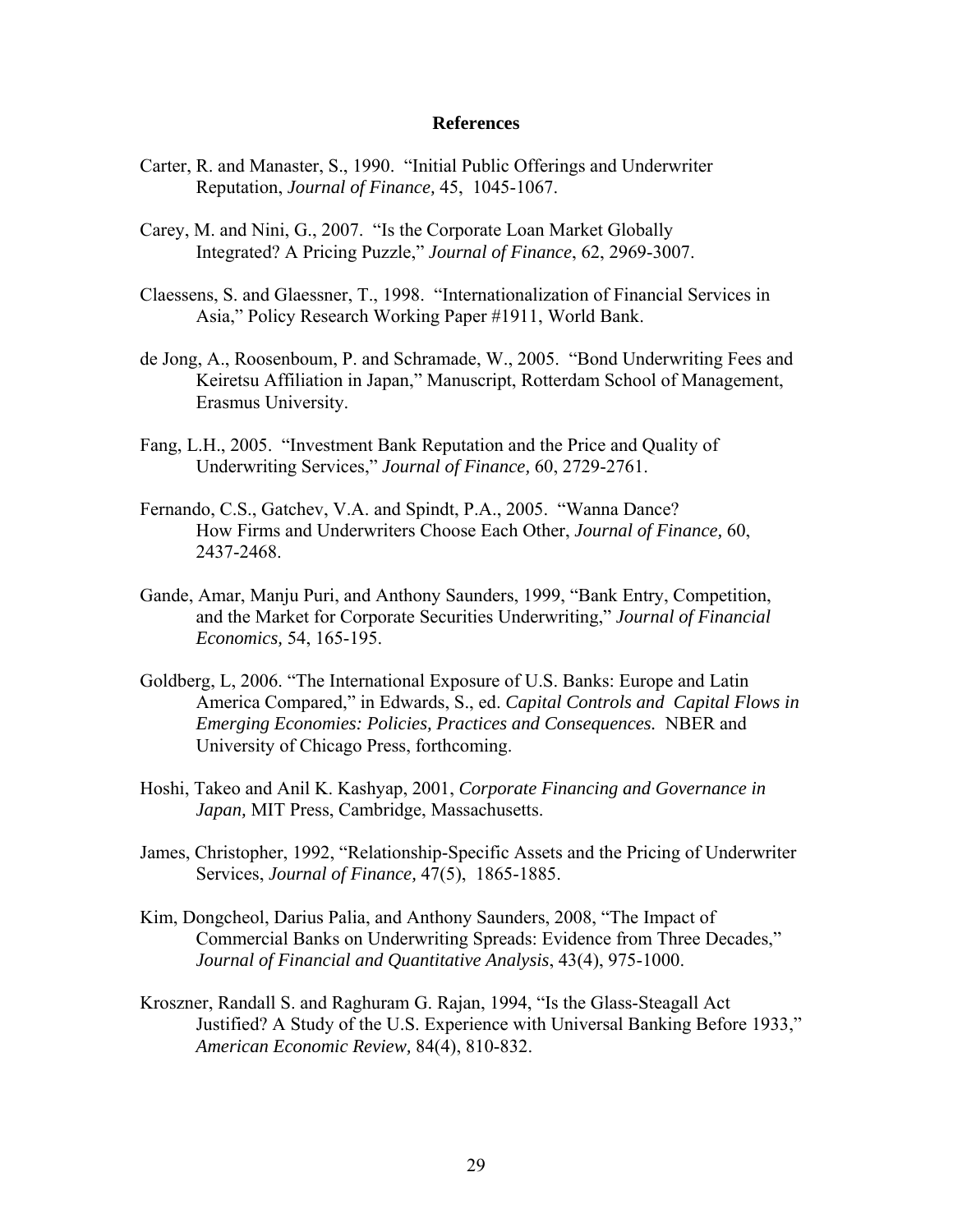#### **References**

- Carter, R. and Manaster, S., 1990. "Initial Public Offerings and Underwriter Reputation, *Journal of Finance,* 45, 1045-1067.
- Carey, M. and Nini, G., 2007. "Is the Corporate Loan Market Globally Integrated? A Pricing Puzzle," *Journal of Finance*, 62, 2969-3007.
- Claessens, S. and Glaessner, T., 1998. "Internationalization of Financial Services in Asia," Policy Research Working Paper #1911, World Bank.
- de Jong, A., Roosenboum, P. and Schramade, W., 2005. "Bond Underwriting Fees and Keiretsu Affiliation in Japan," Manuscript, Rotterdam School of Management, Erasmus University.
- Fang, L.H., 2005. "Investment Bank Reputation and the Price and Quality of Underwriting Services," *Journal of Finance,* 60, 2729-2761.
- Fernando, C.S., Gatchev, V.A. and Spindt, P.A., 2005. "Wanna Dance? How Firms and Underwriters Choose Each Other, *Journal of Finance,* 60, 2437-2468.
- Gande, Amar, Manju Puri, and Anthony Saunders, 1999, "Bank Entry, Competition, and the Market for Corporate Securities Underwriting," *Journal of Financial Economics,* 54, 165-195.
- Goldberg, L, 2006. "The International Exposure of U.S. Banks: Europe and Latin America Compared," in Edwards, S., ed. *Capital Controls and Capital Flows in Emerging Economies: Policies, Practices and Consequences.* NBER and University of Chicago Press, forthcoming.
- Hoshi, Takeo and Anil K. Kashyap, 2001, *Corporate Financing and Governance in Japan,* MIT Press, Cambridge, Massachusetts.
- James, Christopher, 1992, "Relationship-Specific Assets and the Pricing of Underwriter Services, *Journal of Finance,* 47(5), 1865-1885.
- Kim, Dongcheol, Darius Palia, and Anthony Saunders, 2008, "The Impact of Commercial Banks on Underwriting Spreads: Evidence from Three Decades," *Journal of Financial and Quantitative Analysis*, 43(4), 975-1000.
- Kroszner, Randall S. and Raghuram G. Rajan, 1994, "Is the Glass-Steagall Act Justified? A Study of the U.S. Experience with Universal Banking Before 1933," *American Economic Review,* 84(4), 810-832.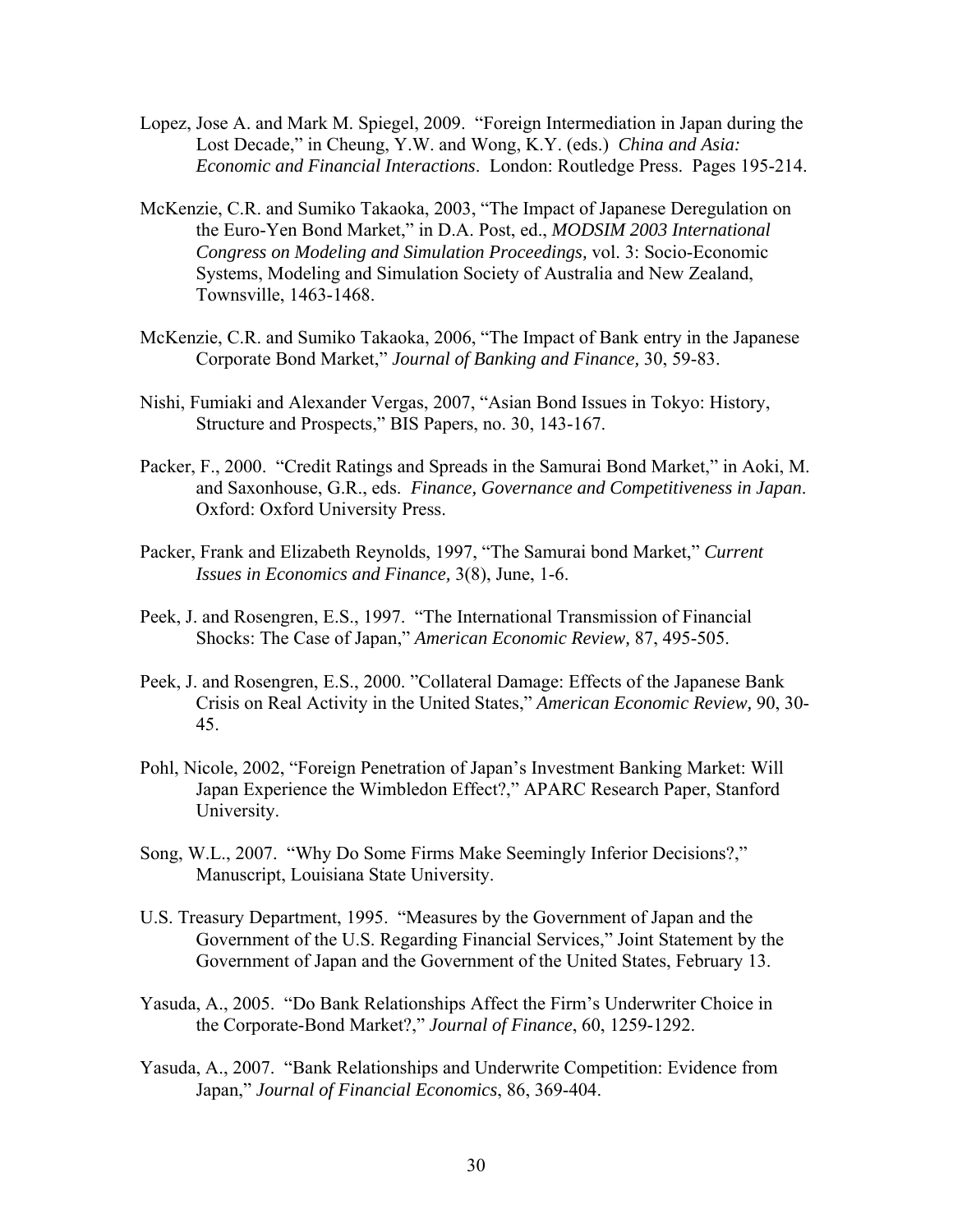- Lopez, Jose A. and Mark M. Spiegel, 2009. "Foreign Intermediation in Japan during the Lost Decade," in Cheung, Y.W. and Wong, K.Y. (eds.) *China and Asia: Economic and Financial Interactions*. London: Routledge Press. Pages 195-214.
- McKenzie, C.R. and Sumiko Takaoka, 2003, "The Impact of Japanese Deregulation on the Euro-Yen Bond Market," in D.A. Post, ed., *MODSIM 2003 International Congress on Modeling and Simulation Proceedings,* vol. 3: Socio-Economic Systems, Modeling and Simulation Society of Australia and New Zealand, Townsville, 1463-1468.
- McKenzie, C.R. and Sumiko Takaoka, 2006, "The Impact of Bank entry in the Japanese Corporate Bond Market," *Journal of Banking and Finance,* 30, 59-83.
- Nishi, Fumiaki and Alexander Vergas, 2007, "Asian Bond Issues in Tokyo: History, Structure and Prospects," BIS Papers, no. 30, 143-167.
- Packer, F., 2000. "Credit Ratings and Spreads in the Samurai Bond Market," in Aoki, M. and Saxonhouse, G.R., eds. *Finance, Governance and Competitiveness in Japan*. Oxford: Oxford University Press.
- Packer, Frank and Elizabeth Reynolds, 1997, "The Samurai bond Market," *Current Issues in Economics and Finance,* 3(8), June, 1-6.
- Peek, J. and Rosengren, E.S., 1997. "The International Transmission of Financial Shocks: The Case of Japan," *American Economic Review,* 87, 495-505.
- Peek, J. and Rosengren, E.S., 2000. "Collateral Damage: Effects of the Japanese Bank Crisis on Real Activity in the United States," *American Economic Review,* 90, 30- 45.
- Pohl, Nicole, 2002, "Foreign Penetration of Japan's Investment Banking Market: Will Japan Experience the Wimbledon Effect?," APARC Research Paper, Stanford University.
- Song, W.L., 2007. "Why Do Some Firms Make Seemingly Inferior Decisions?," Manuscript, Louisiana State University.
- U.S. Treasury Department, 1995. "Measures by the Government of Japan and the Government of the U.S. Regarding Financial Services," Joint Statement by the Government of Japan and the Government of the United States, February 13.
- Yasuda, A., 2005. "Do Bank Relationships Affect the Firm's Underwriter Choice in the Corporate-Bond Market?," *Journal of Finance*, 60, 1259-1292.
- Yasuda, A., 2007. "Bank Relationships and Underwrite Competition: Evidence from Japan," *Journal of Financial Economics*, 86, 369-404.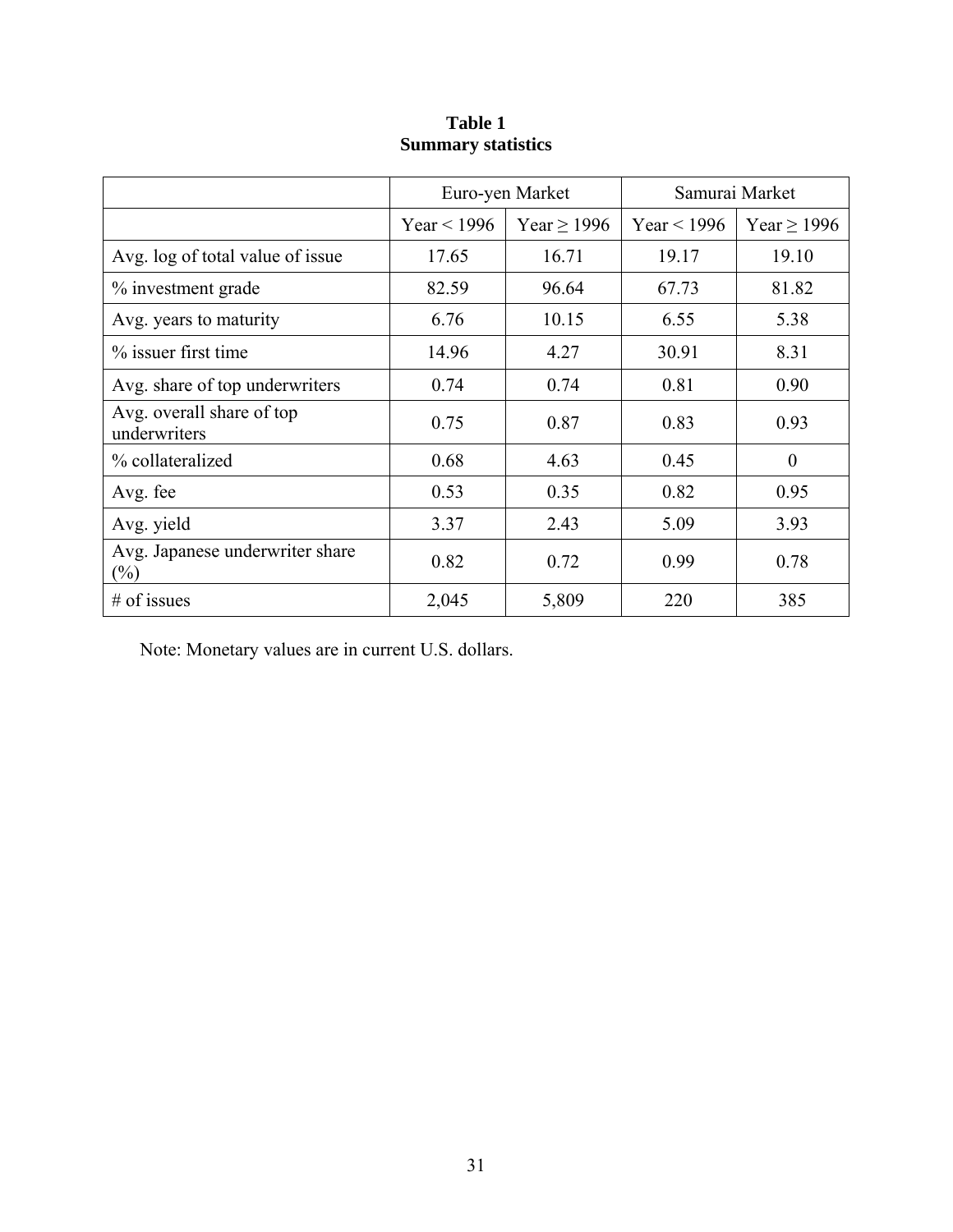|                                           | Euro-yen Market |                  | Samurai Market |                  |
|-------------------------------------------|-----------------|------------------|----------------|------------------|
|                                           | Year $<$ 1996   | Year $\geq$ 1996 | Year < $1996$  | Year $\geq$ 1996 |
| Avg. log of total value of issue          | 17.65           | 16.71            | 19.17          | 19.10            |
| % investment grade                        | 82.59           | 96.64            | 67.73          | 81.82            |
| Avg. years to maturity                    | 6.76            | 10.15            | 6.55           | 5.38             |
| % issuer first time                       | 14.96           | 4.27             | 30.91          | 8.31             |
| Avg. share of top underwriters            | 0.74            | 0.74             | 0.81           | 0.90             |
| Avg. overall share of top<br>underwriters | 0.75            | 0.87             | 0.83           | 0.93             |
| % collateralized                          | 0.68            | 4.63             | 0.45           | $\theta$         |
| Avg. fee                                  | 0.53            | 0.35             | 0.82           | 0.95             |
| Avg. yield                                | 3.37            | 2.43             | 5.09           | 3.93             |
| Avg. Japanese underwriter share<br>$(\%)$ | 0.82            | 0.72             | 0.99           | 0.78             |
| $#$ of issues                             | 2,045           | 5,809            | 220            | 385              |

# **Table 1 Summary statistics**

Note: Monetary values are in current U.S. dollars.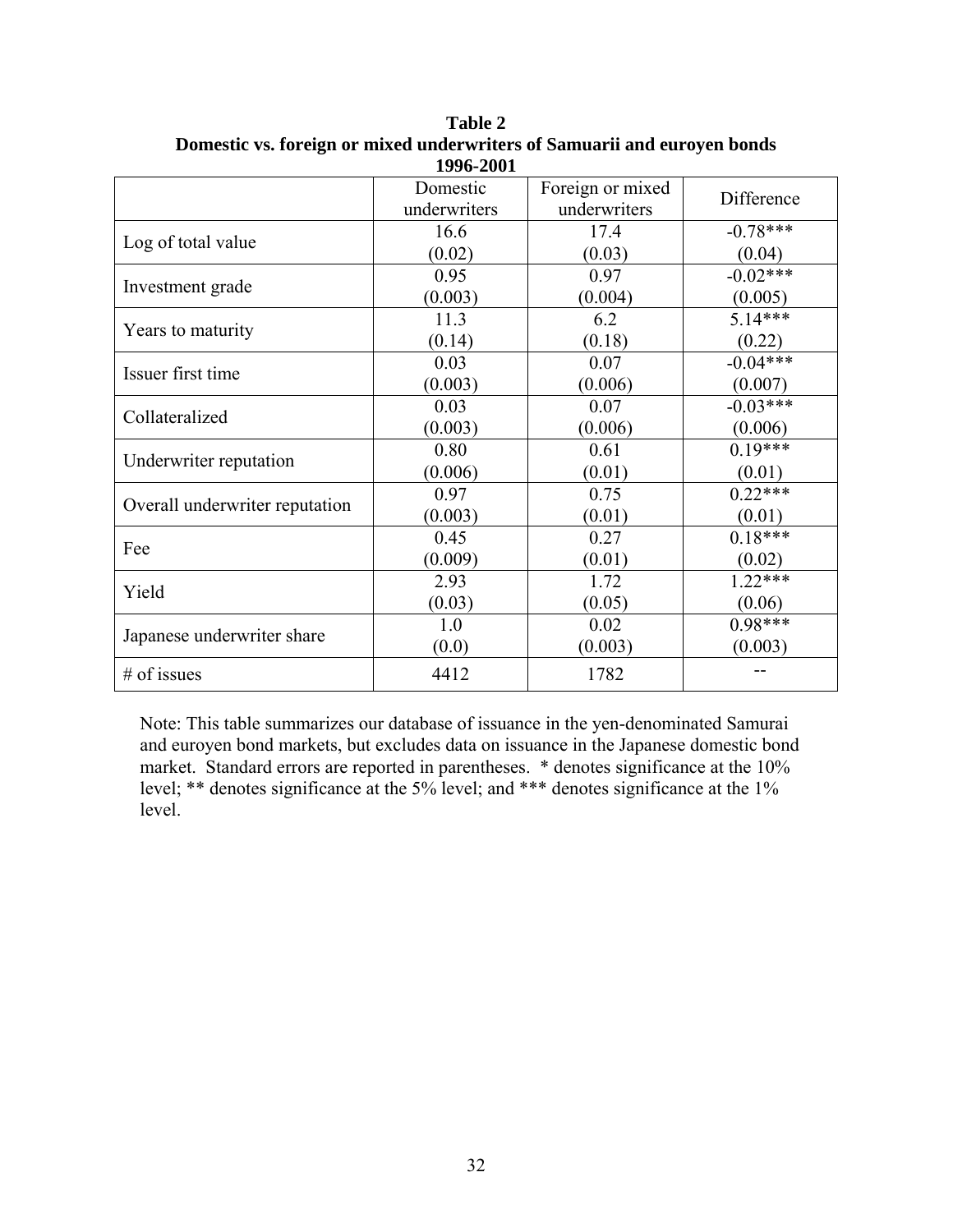| 1770-4001                      |                          |                                  |            |  |  |
|--------------------------------|--------------------------|----------------------------------|------------|--|--|
|                                | Domestic<br>underwriters | Foreign or mixed<br>underwriters | Difference |  |  |
|                                | 16.6                     | 17.4                             | $-0.78***$ |  |  |
| Log of total value             | (0.02)                   | (0.03)                           | (0.04)     |  |  |
| Investment grade               | 0.95                     | 0.97                             | $-0.02***$ |  |  |
|                                | (0.003)                  | (0.004)                          | (0.005)    |  |  |
| Years to maturity              | 11.3                     | 6.2                              | $5.14***$  |  |  |
|                                | (0.14)                   | (0.18)                           | (0.22)     |  |  |
| Issuer first time              | 0.03                     | 0.07                             | $-0.04***$ |  |  |
|                                | (0.003)                  | (0.006)                          | (0.007)    |  |  |
| Collateralized                 | 0.03                     | 0.07                             | $-0.03***$ |  |  |
|                                | (0.003)                  | (0.006)                          | (0.006)    |  |  |
| Underwriter reputation         | 0.80                     | 0.61                             | $0.19***$  |  |  |
|                                | (0.006)                  | (0.01)                           | (0.01)     |  |  |
| Overall underwriter reputation | 0.97                     | 0.75                             | $0.22***$  |  |  |
|                                | (0.003)                  | (0.01)                           | (0.01)     |  |  |
| Fee                            | 0.45                     | 0.27                             | $0.18***$  |  |  |
|                                | (0.009)                  | (0.01)                           | (0.02)     |  |  |
| Yield                          | 2.93                     | 1.72                             | $1.22***$  |  |  |
|                                | (0.03)                   | (0.05)                           | (0.06)     |  |  |
|                                | 1.0                      | 0.02                             | $0.98***$  |  |  |
| Japanese underwriter share     | (0.0)                    | (0.003)                          | (0.003)    |  |  |
| $#$ of issues                  | 4412                     | 1782                             |            |  |  |

**Table 2 Domestic vs. foreign or mixed underwriters of Samuarii and euroyen bonds 1996-2001** 

Note: This table summarizes our database of issuance in the yen-denominated Samurai and euroyen bond markets, but excludes data on issuance in the Japanese domestic bond market. Standard errors are reported in parentheses. \* denotes significance at the 10% level; \*\* denotes significance at the 5% level; and \*\*\* denotes significance at the 1% level.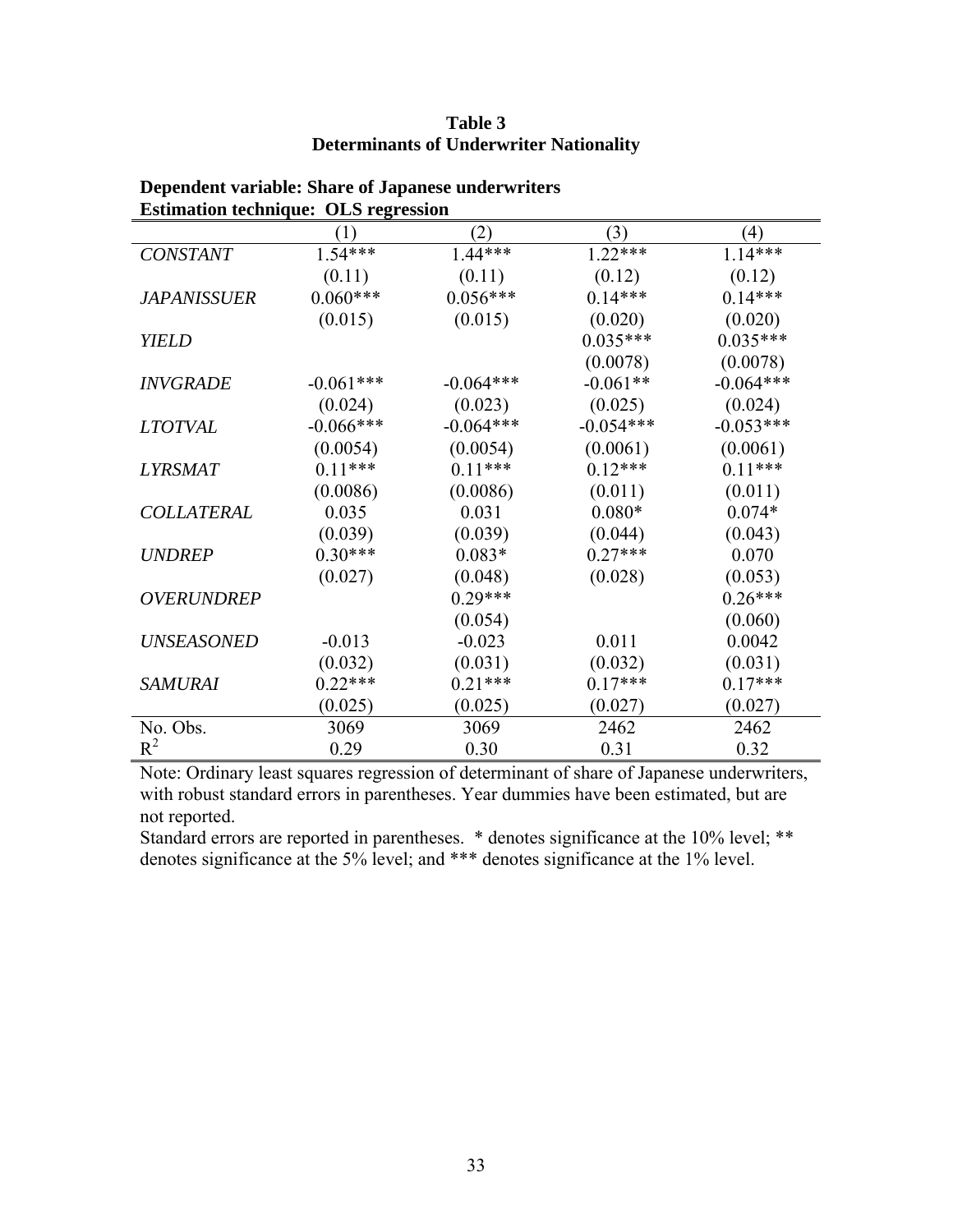# **Table 3 Determinants of Underwriter Nationality**

| bennamen reeninguer omb regression | (1)         | (2)         | (3)         | (4)         |
|------------------------------------|-------------|-------------|-------------|-------------|
| <b>CONSTANT</b>                    | $1.54***$   | $1.44***$   | $1.22***$   | $1.14***$   |
|                                    | (0.11)      | (0.11)      | (0.12)      | (0.12)      |
| <i>JAPANISSUER</i>                 | $0.060***$  | $0.056***$  | $0.14***$   | $0.14***$   |
|                                    | (0.015)     | (0.015)     | (0.020)     | (0.020)     |
| <b>YIELD</b>                       |             |             | $0.035***$  | $0.035***$  |
|                                    |             |             | (0.0078)    | (0.0078)    |
| <b>INVGRADE</b>                    | $-0.061***$ | $-0.064***$ | $-0.061**$  | $-0.064***$ |
|                                    | (0.024)     | (0.023)     | (0.025)     | (0.024)     |
| <b>LTOTVAL</b>                     | $-0.066***$ | $-0.064***$ | $-0.054***$ | $-0.053***$ |
|                                    | (0.0054)    | (0.0054)    | (0.0061)    | (0.0061)    |
| <i><b>LYRSMAT</b></i>              | $0.11***$   | $0.11***$   | $0.12***$   | $0.11***$   |
|                                    | (0.0086)    | (0.0086)    | (0.011)     | (0.011)     |
| <b>COLLATERAL</b>                  | 0.035       | 0.031       | $0.080*$    | $0.074*$    |
|                                    | (0.039)     | (0.039)     | (0.044)     | (0.043)     |
| <b>UNDREP</b>                      | $0.30***$   | $0.083*$    | $0.27***$   | 0.070       |
|                                    | (0.027)     | (0.048)     | (0.028)     | (0.053)     |
| <b>OVERUNDREP</b>                  |             | $0.29***$   |             | $0.26***$   |
|                                    |             | (0.054)     |             | (0.060)     |
| <b>UNSEASONED</b>                  | $-0.013$    | $-0.023$    | 0.011       | 0.0042      |
|                                    | (0.032)     | (0.031)     | (0.032)     | (0.031)     |
| <b>SAMURAI</b>                     | $0.22***$   | $0.21***$   | $0.17***$   | $0.17***$   |
|                                    | (0.025)     | (0.025)     | (0.027)     | (0.027)     |
| No. Obs.                           | 3069        | 3069        | 2462        | 2462        |
| $R^2$                              | 0.29        | 0.30        | 0.31        | 0.32        |

# **Dependent variable: Share of Japanese underwriters Estimation technique: OLS regression**

Note: Ordinary least squares regression of determinant of share of Japanese underwriters, with robust standard errors in parentheses. Year dummies have been estimated, but are not reported.

Standard errors are reported in parentheses. \* denotes significance at the 10% level; \*\* denotes significance at the 5% level; and \*\*\* denotes significance at the 1% level.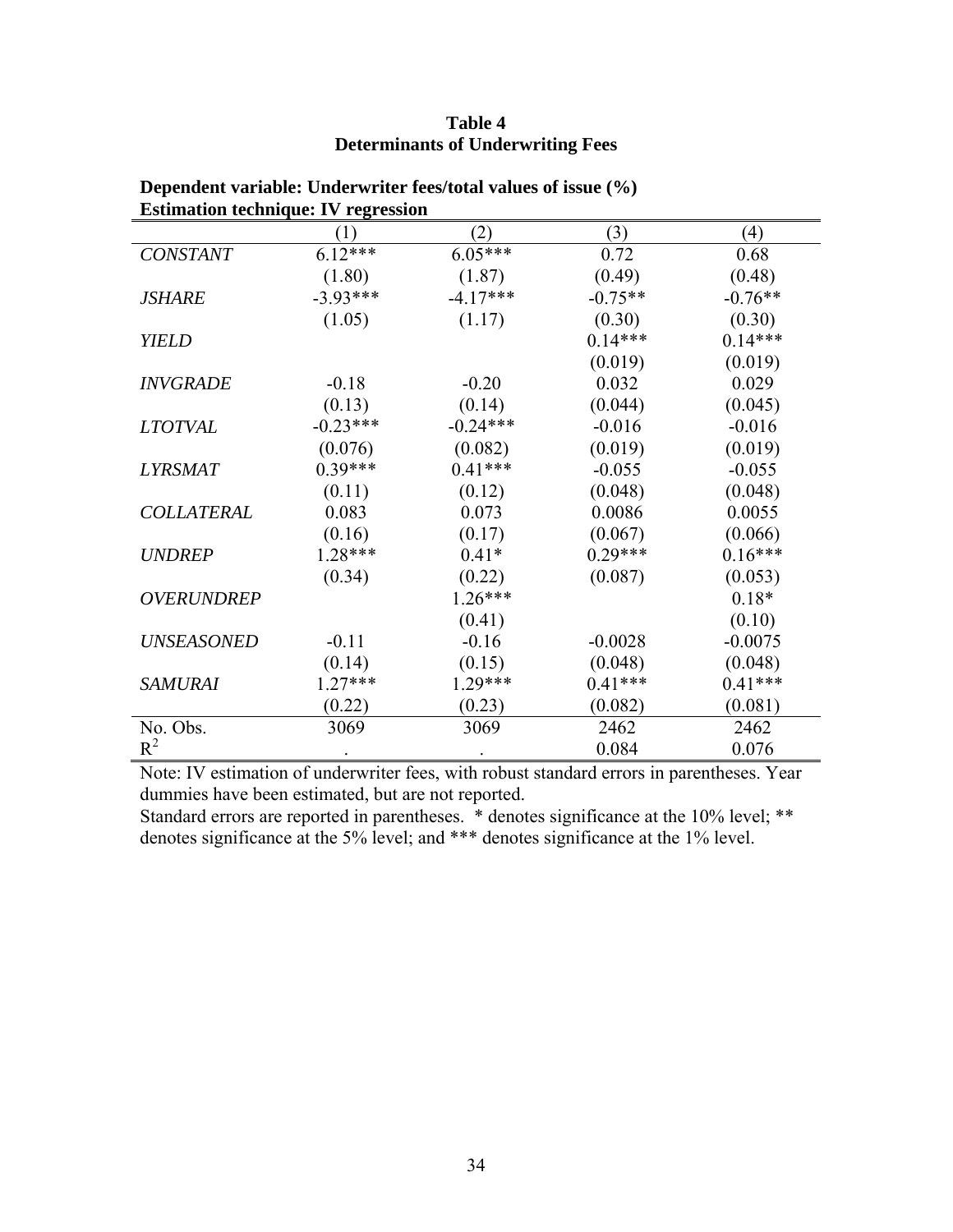# **Table 4 Determinants of Underwriting Fees**

| Estimation technique. Tv Tegression | (1)        | (2)        | (3)       | (4)       |
|-------------------------------------|------------|------------|-----------|-----------|
| <b>CONSTANT</b>                     | $6.12***$  | $6.05***$  | 0.72      | 0.68      |
|                                     | (1.80)     | (1.87)     | (0.49)    | (0.48)    |
| <i><b>JSHARE</b></i>                | $-3.93***$ | $-4.17***$ | $-0.75**$ | $-0.76**$ |
|                                     | (1.05)     | (1.17)     | (0.30)    | (0.30)    |
| <b>YIELD</b>                        |            |            | $0.14***$ | $0.14***$ |
|                                     |            |            | (0.019)   | (0.019)   |
| <b>INVGRADE</b>                     | $-0.18$    | $-0.20$    | 0.032     | 0.029     |
|                                     | (0.13)     | (0.14)     | (0.044)   | (0.045)   |
| <i>LTOTVAL</i>                      | $-0.23***$ | $-0.24***$ | $-0.016$  | $-0.016$  |
|                                     | (0.076)    | (0.082)    | (0.019)   | (0.019)   |
| <b>LYRSMAT</b>                      | $0.39***$  | $0.41***$  | $-0.055$  | $-0.055$  |
|                                     | (0.11)     | (0.12)     | (0.048)   | (0.048)   |
| <b>COLLATERAL</b>                   | 0.083      | 0.073      | 0.0086    | 0.0055    |
|                                     | (0.16)     | (0.17)     | (0.067)   | (0.066)   |
| <b>UNDREP</b>                       | $1.28***$  | $0.41*$    | $0.29***$ | $0.16***$ |
|                                     | (0.34)     | (0.22)     | (0.087)   | (0.053)   |
| OVERUNDREP                          |            | $1.26***$  |           | $0.18*$   |
|                                     |            | (0.41)     |           | (0.10)    |
| <b>UNSEASONED</b>                   | $-0.11$    | $-0.16$    | $-0.0028$ | $-0.0075$ |
|                                     | (0.14)     | (0.15)     | (0.048)   | (0.048)   |
| <b>SAMURAI</b>                      | $1.27***$  | 1.29***    | $0.41***$ | $0.41***$ |
|                                     | (0.22)     | (0.23)     | (0.082)   | (0.081)   |
| No. Obs.                            | 3069       | 3069       | 2462      | 2462      |
| $R^2$                               |            |            | 0.084     | 0.076     |

**Dependent variable: Underwriter fees/total values of issue (%) Estimation technique: IV regression** 

Note: IV estimation of underwriter fees, with robust standard errors in parentheses. Year dummies have been estimated, but are not reported.

Standard errors are reported in parentheses. \* denotes significance at the 10% level; \*\* denotes significance at the 5% level; and \*\*\* denotes significance at the 1% level.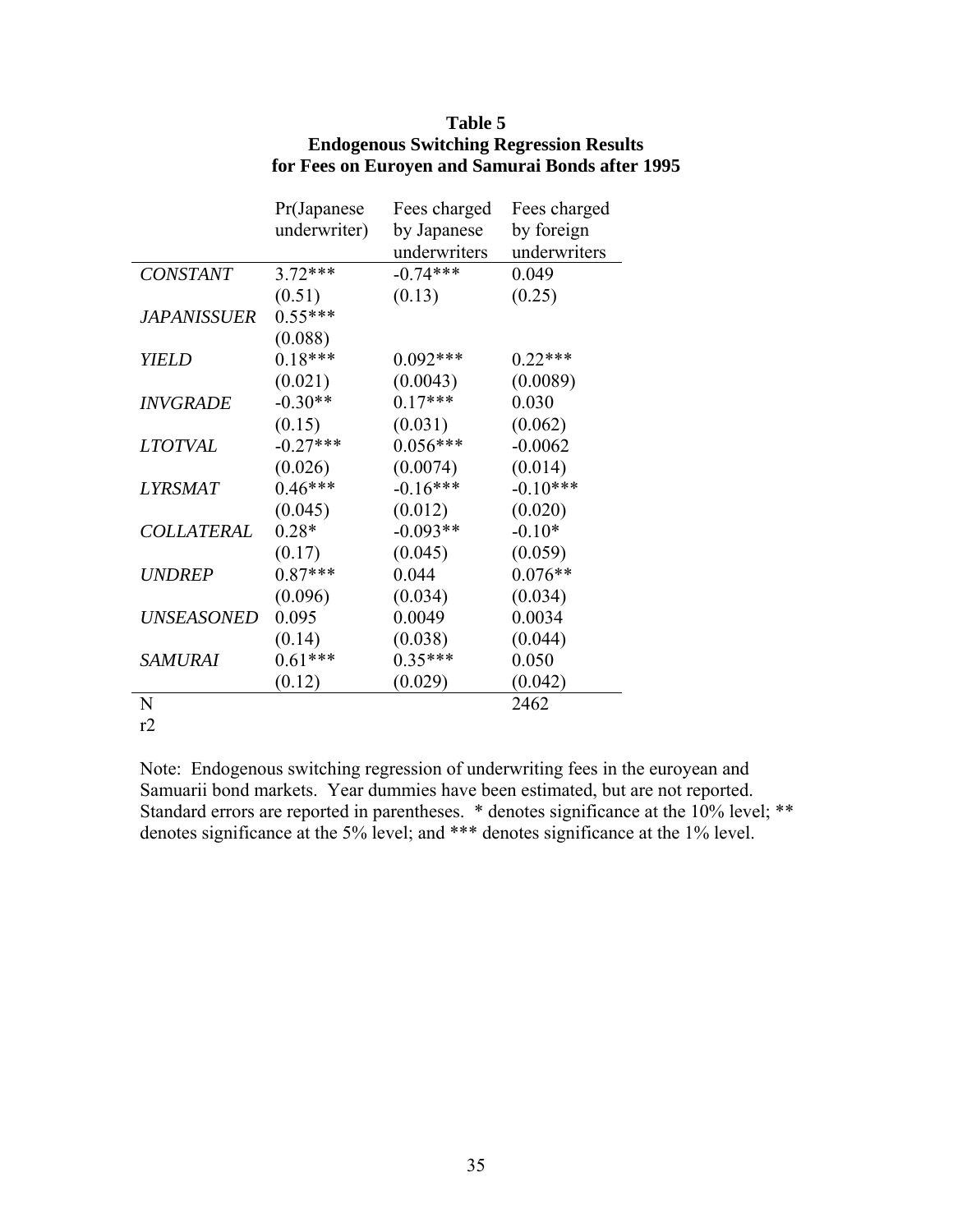|                    | Pr(Japanese  | Fees charged | Fees charged |
|--------------------|--------------|--------------|--------------|
|                    | underwriter) | by Japanese  | by foreign   |
|                    |              | underwriters | underwriters |
| <b>CONSTANT</b>    | $3.72***$    | $-0.74***$   | 0.049        |
|                    | (0.51)       | (0.13)       | (0.25)       |
| <i>JAPANISSUER</i> | $0.55***$    |              |              |
|                    | (0.088)      |              |              |
| <b>YIELD</b>       | $0.18***$    | $0.092***$   | $0.22***$    |
|                    | (0.021)      | (0.0043)     | (0.0089)     |
| <b>INVGRADE</b>    | $-0.30**$    | $0.17***$    | 0.030        |
|                    | (0.15)       | (0.031)      | (0.062)      |
| <b>LTOTVAL</b>     | $-0.27***$   | $0.056***$   | $-0.0062$    |
|                    | (0.026)      | (0.0074)     | (0.014)      |
| <i>LYRSMAT</i>     | $0.46***$    | $-0.16***$   | $-0.10***$   |
|                    | (0.045)      | (0.012)      | (0.020)      |
| COLLATERAL         | $0.28*$      | $-0.093**$   | $-0.10*$     |
|                    | (0.17)       | (0.045)      | (0.059)      |
| <b>UNDREP</b>      | $0.87***$    | 0.044        | $0.076**$    |
|                    | (0.096)      | (0.034)      | (0.034)      |
| UNSEASONED         | 0.095        | 0.0049       | 0.0034       |
|                    | (0.14)       | (0.038)      | (0.044)      |
| <b>SAMURAI</b>     | $0.61***$    | $0.35***$    | 0.050        |
|                    | (0.12)       | (0.029)      | (0.042)      |
| N                  |              |              | 2462         |
| r2                 |              |              |              |

# **Table 5 Endogenous Switching Regression Results for Fees on Euroyen and Samurai Bonds after 1995**

Note: Endogenous switching regression of underwriting fees in the euroyean and Samuarii bond markets. Year dummies have been estimated, but are not reported. Standard errors are reported in parentheses. \* denotes significance at the 10% level; \*\* denotes significance at the 5% level; and \*\*\* denotes significance at the 1% level.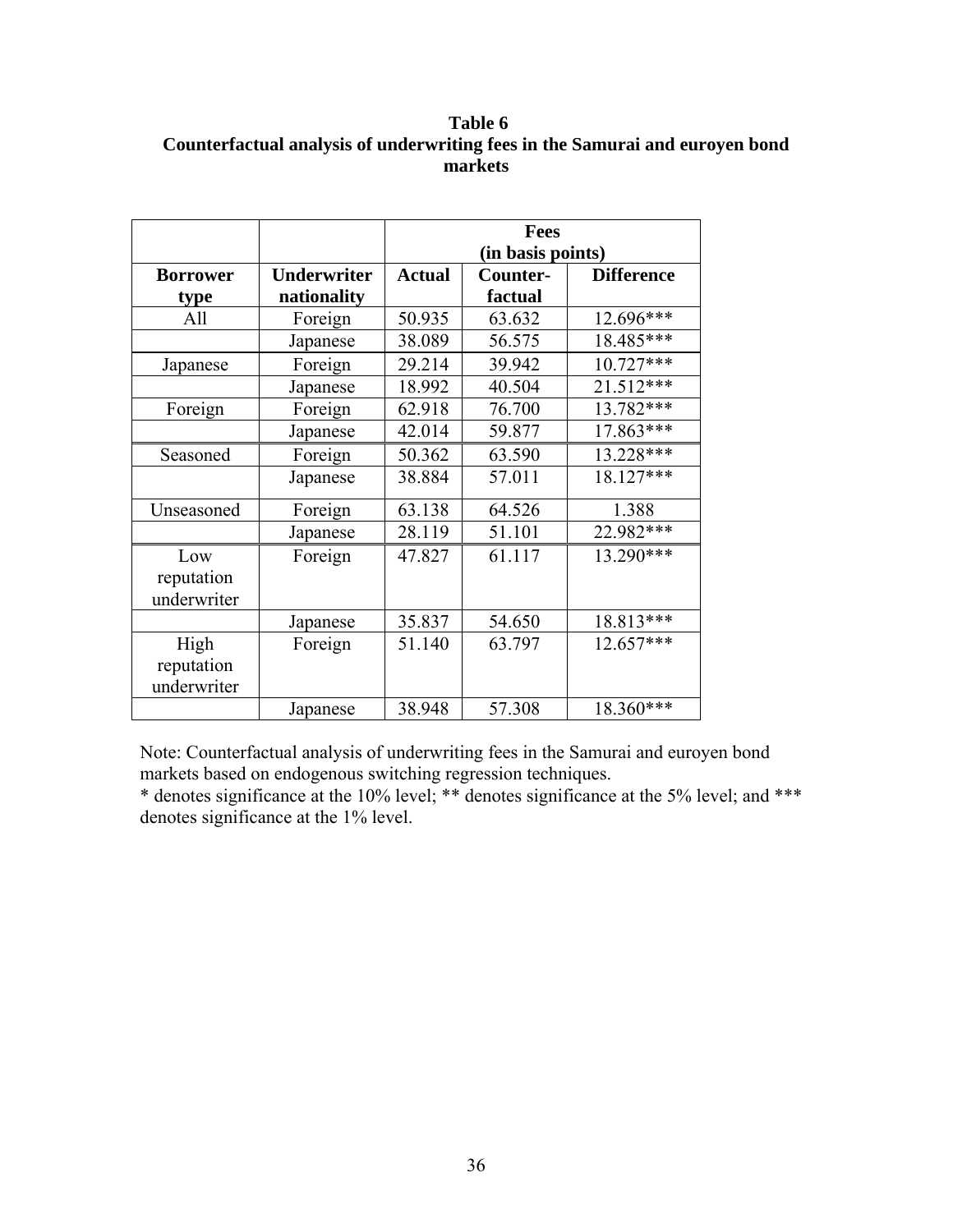**Table 6 Counterfactual analysis of underwriting fees in the Samurai and euroyen bond markets**

|                 |                    | <b>Fees</b>       |                               |           |  |
|-----------------|--------------------|-------------------|-------------------------------|-----------|--|
|                 |                    | (in basis points) |                               |           |  |
| <b>Borrower</b> | <b>Underwriter</b> | <b>Actual</b>     | Counter-<br><b>Difference</b> |           |  |
| type            | nationality        |                   | factual                       |           |  |
| All             | Foreign            | 50.935            | 63.632                        | 12.696*** |  |
|                 | Japanese           | 38.089            | 56.575                        | 18.485*** |  |
| Japanese        | Foreign            | 29.214            | 39.942                        | 10.727*** |  |
|                 | Japanese           | 18.992            | 40.504                        | 21.512*** |  |
| Foreign         | Foreign            | 62.918            | 76.700                        | 13.782*** |  |
|                 | Japanese           | 42.014            | 59.877                        | 17.863*** |  |
| Seasoned        | Foreign            | 50.362            | 63.590                        | 13.228*** |  |
|                 | Japanese           | 38.884            | 57.011                        | 18.127*** |  |
| Unseasoned      | Foreign            | 63.138            | 64.526                        | 1.388     |  |
|                 | Japanese           | 28.119            | 51.101                        | 22.982*** |  |
| Low             | Foreign            | 47.827            | 61.117                        | 13.290*** |  |
| reputation      |                    |                   |                               |           |  |
| underwriter     |                    |                   |                               |           |  |
|                 | Japanese           | 35.837            | 54.650                        | 18.813*** |  |
| High            | Foreign            | 51.140            | 63.797                        | 12.657*** |  |
| reputation      |                    |                   |                               |           |  |
| underwriter     |                    |                   |                               |           |  |
|                 | Japanese           | 38.948            | 57.308                        | 18.360*** |  |

Note: Counterfactual analysis of underwriting fees in the Samurai and euroyen bond markets based on endogenous switching regression techniques.

\* denotes significance at the 10% level; \*\* denotes significance at the 5% level; and \*\*\* denotes significance at the 1% level.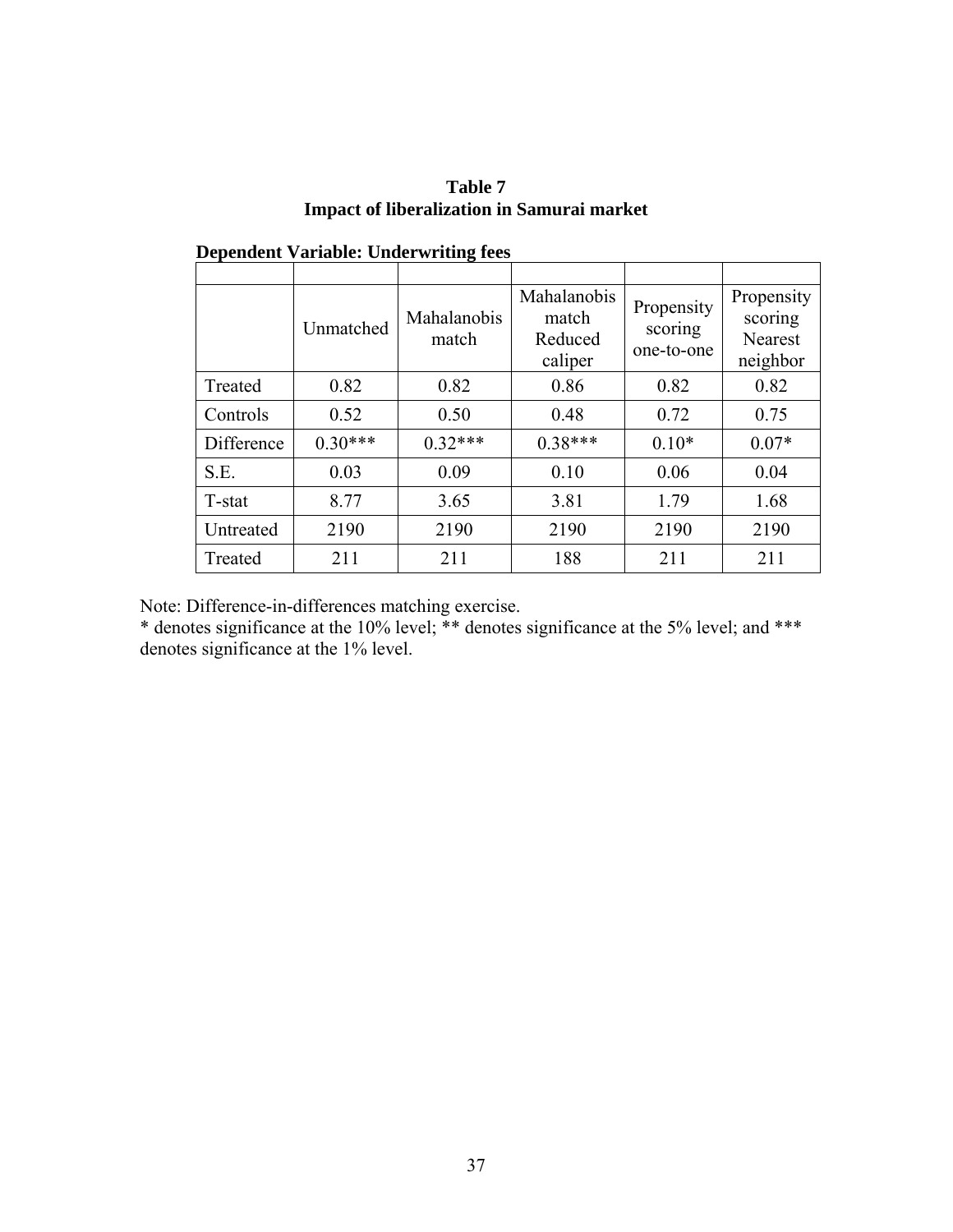| Table 7                                           |  |
|---------------------------------------------------|--|
| <b>Impact of liberalization in Samurai market</b> |  |

|            | Unmatched | Mahalanobis<br>match | Mahalanobis<br>match<br>Reduced<br>caliper | Propensity<br>scoring<br>one-to-one | Propensity<br>scoring<br>Nearest<br>neighbor |
|------------|-----------|----------------------|--------------------------------------------|-------------------------------------|----------------------------------------------|
| Treated    | 0.82      | 0.82                 | 0.86                                       | 0.82                                | 0.82                                         |
| Controls   | 0.52      | 0.50                 | 0.48                                       | 0.72                                | 0.75                                         |
| Difference | $0.30***$ | $0.32***$            | $0.38***$                                  | $0.10*$                             | $0.07*$                                      |
| S.E.       | 0.03      | 0.09                 | 0.10                                       | 0.06                                | 0.04                                         |
| T-stat     | 8.77      | 3.65                 | 3.81                                       | 1.79                                | 1.68                                         |
| Untreated  | 2190      | 2190                 | 2190                                       | 2190                                | 2190                                         |
| Treated    | 211       | 211                  | 188                                        | 211                                 | 211                                          |

 **Dependent Variable: Underwriting fees** 

Note: Difference-in-differences matching exercise.

\* denotes significance at the 10% level; \*\* denotes significance at the 5% level; and \*\*\* denotes significance at the 1% level.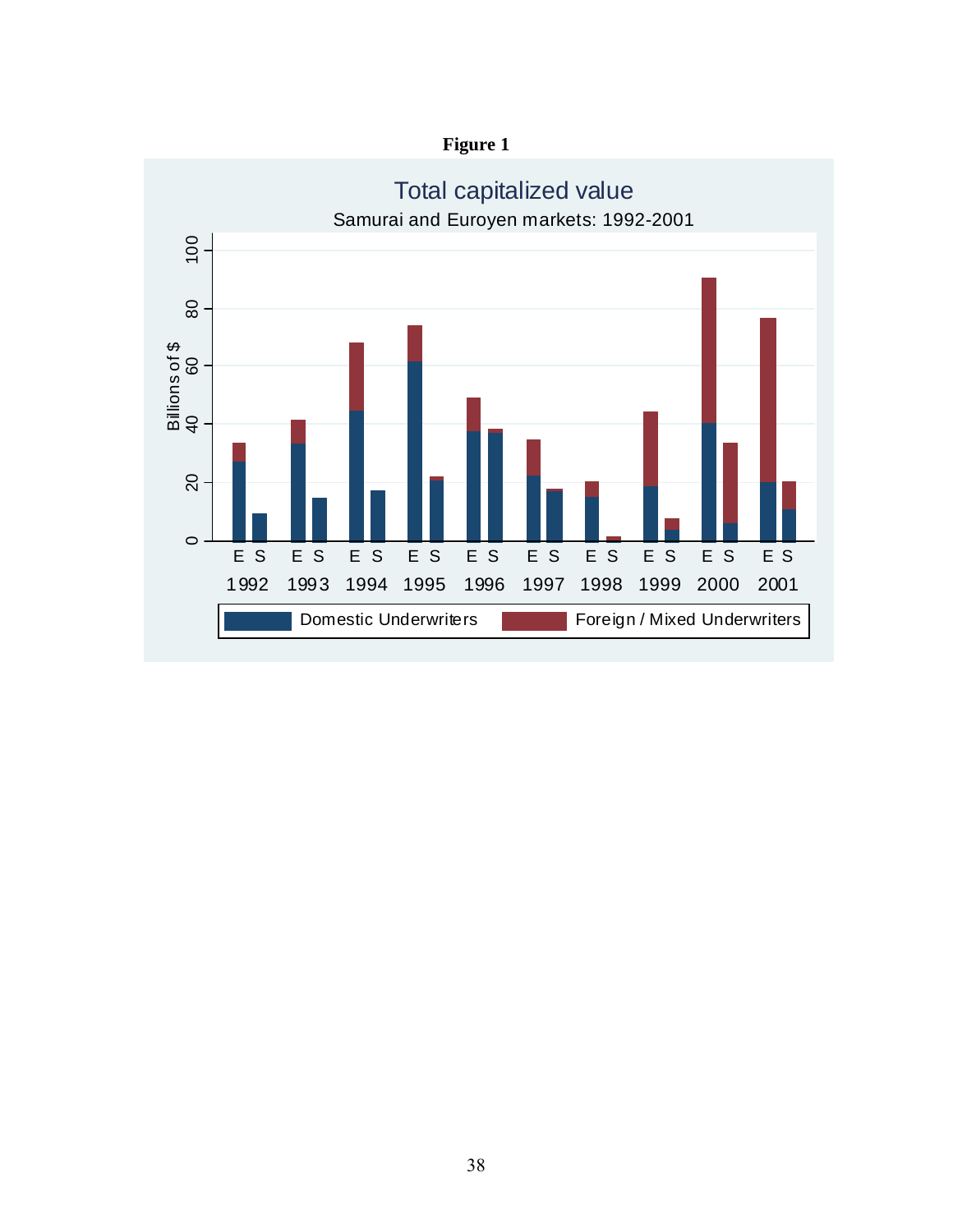